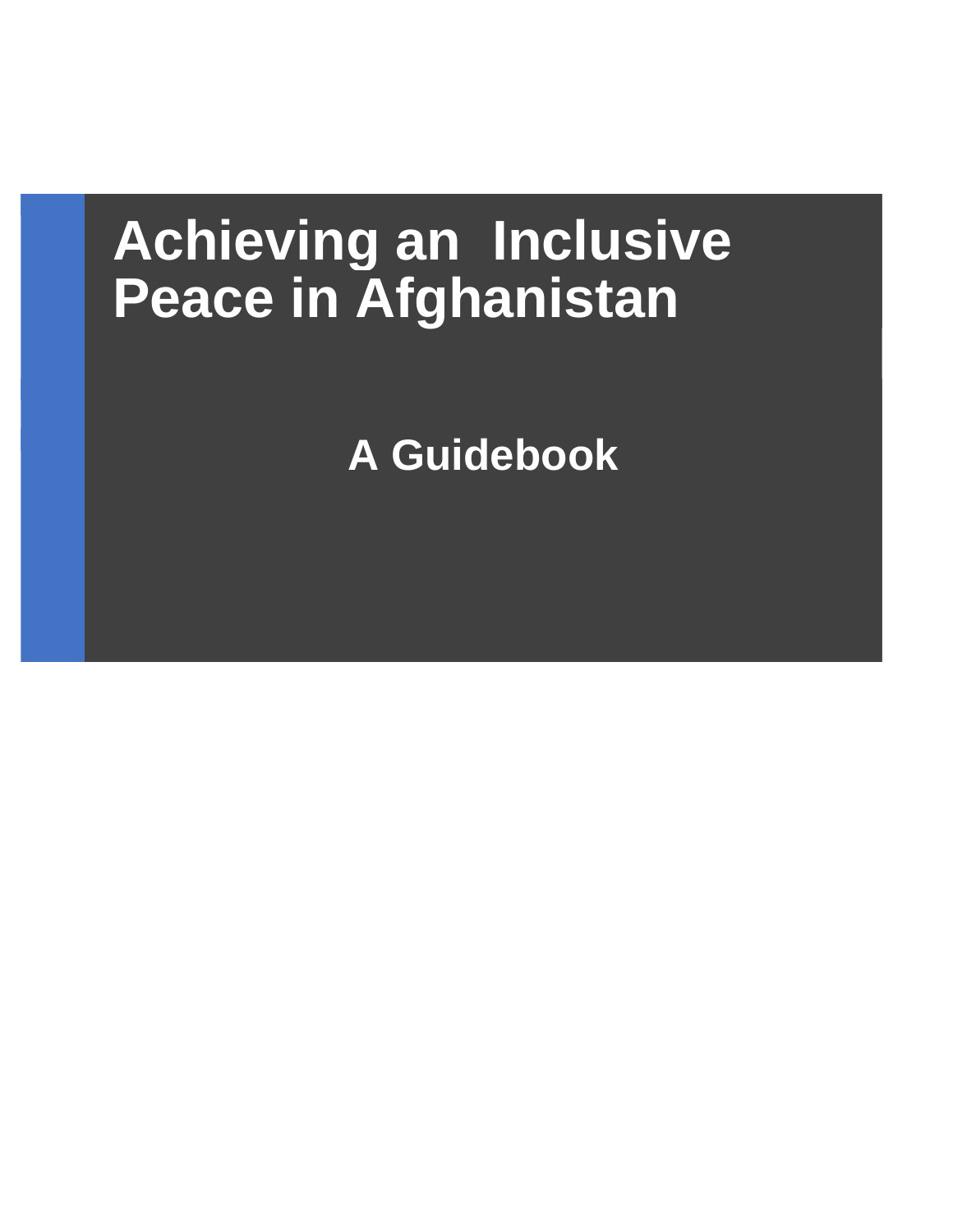# **Achieving an Inclusive Peace in Afghanistan**

**A Guidebook**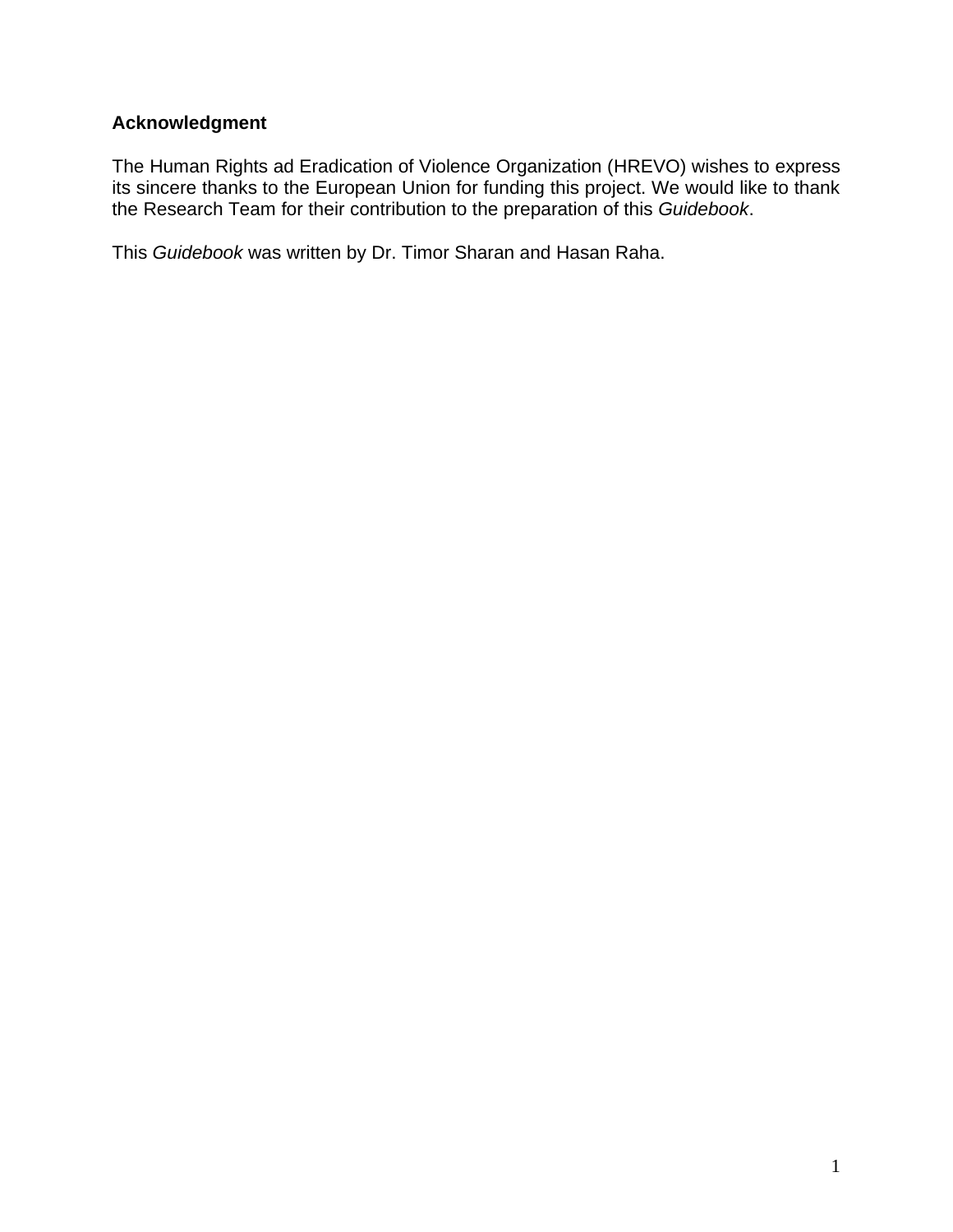# <span id="page-1-0"></span>**Acknowledgment**

The Human Rights ad Eradication of Violence Organization (HREVO) wishes to express its sincere thanks to the European Union for funding this project. We would like to thank the Research Team for their contribution to the preparation of this *Guidebook*.

This *Guidebook* was written by Dr. Timor Sharan and Hasan Raha.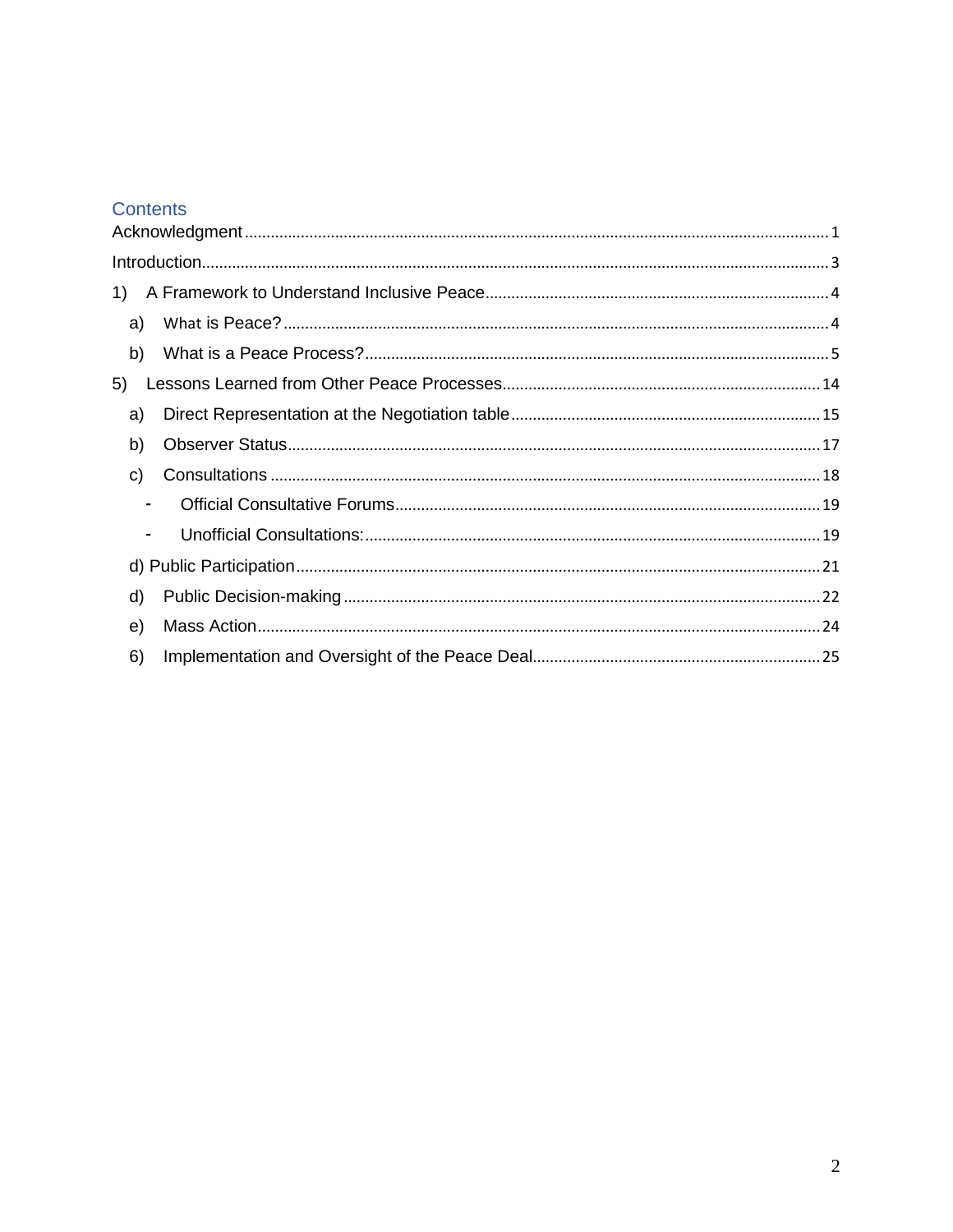# Contents

| 1)             |  |
|----------------|--|
| a)             |  |
| b)             |  |
| 5)             |  |
| a)             |  |
| b)             |  |
| C)             |  |
| ۰              |  |
| $\blacksquare$ |  |
|                |  |
| d)             |  |
| e)             |  |
| 6)             |  |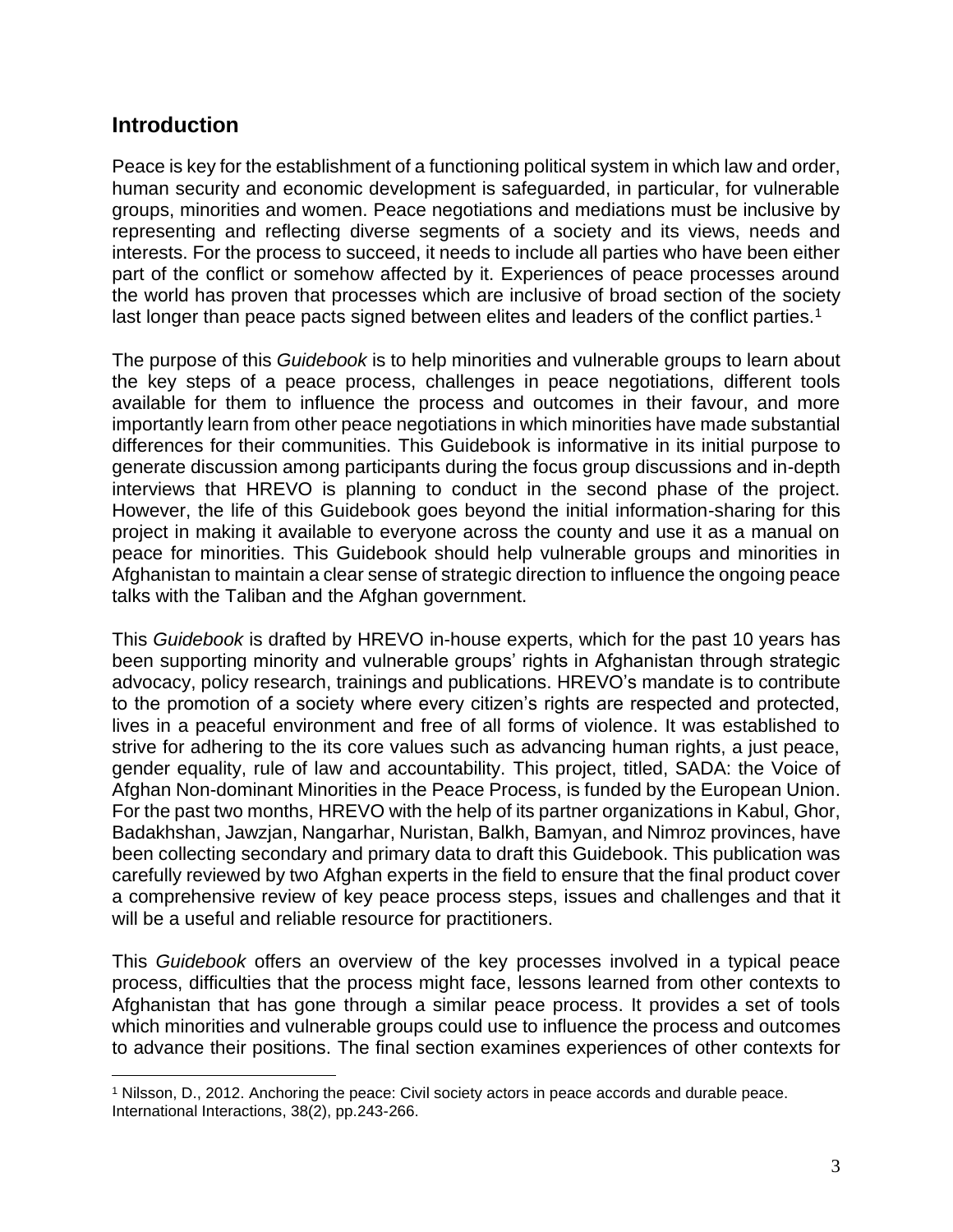# <span id="page-3-0"></span>**Introduction**

Peace is key for the establishment of a functioning political system in which law and order, human security and economic development is safeguarded, in particular, for vulnerable groups, minorities and women. Peace negotiations and mediations must be inclusive by representing and reflecting diverse segments of a society and its views, needs and interests. For the process to succeed, it needs to include all parties who have been either part of the conflict or somehow affected by it. Experiences of peace processes around the world has proven that processes which are inclusive of broad section of the society last longer than peace pacts signed between elites and leaders of the conflict parties.<sup>1</sup>

The purpose of this *Guidebook* is to help minorities and vulnerable groups to learn about the key steps of a peace process, challenges in peace negotiations, different tools available for them to influence the process and outcomes in their favour, and more importantly learn from other peace negotiations in which minorities have made substantial differences for their communities. This Guidebook is informative in its initial purpose to generate discussion among participants during the focus group discussions and in-depth interviews that HREVO is planning to conduct in the second phase of the project. However, the life of this Guidebook goes beyond the initial information-sharing for this project in making it available to everyone across the county and use it as a manual on peace for minorities. This Guidebook should help vulnerable groups and minorities in Afghanistan to maintain a clear sense of strategic direction to influence the ongoing peace talks with the Taliban and the Afghan government.

This *Guidebook* is drafted by HREVO in-house experts, which for the past 10 years has been supporting minority and vulnerable groups' rights in Afghanistan through strategic advocacy, policy research, trainings and publications. HREVO's mandate is to contribute to the promotion of a society where every citizen's rights are respected and protected, lives in a peaceful environment and free of all forms of violence. It was established to strive for adhering to the its core values such as advancing human rights, a just peace, gender equality, rule of law and accountability. This project, titled, SADA: the Voice of Afghan Non-dominant Minorities in the Peace Process, is funded by the European Union. For the past two months, HREVO with the help of its partner organizations in Kabul, Ghor, Badakhshan, Jawzjan, Nangarhar, Nuristan, Balkh, Bamyan, and Nimroz provinces, have been collecting secondary and primary data to draft this Guidebook. This publication was carefully reviewed by two Afghan experts in the field to ensure that the final product cover a comprehensive review of key peace process steps, issues and challenges and that it will be a useful and reliable resource for practitioners.

This *Guidebook* offers an overview of the key processes involved in a typical peace process, difficulties that the process might face, lessons learned from other contexts to Afghanistan that has gone through a similar peace process. It provides a set of tools which minorities and vulnerable groups could use to influence the process and outcomes to advance their positions. The final section examines experiences of other contexts for

<sup>1</sup> Nilsson, D., 2012. Anchoring the peace: Civil society actors in peace accords and durable peace. International Interactions, 38(2), pp.243-266.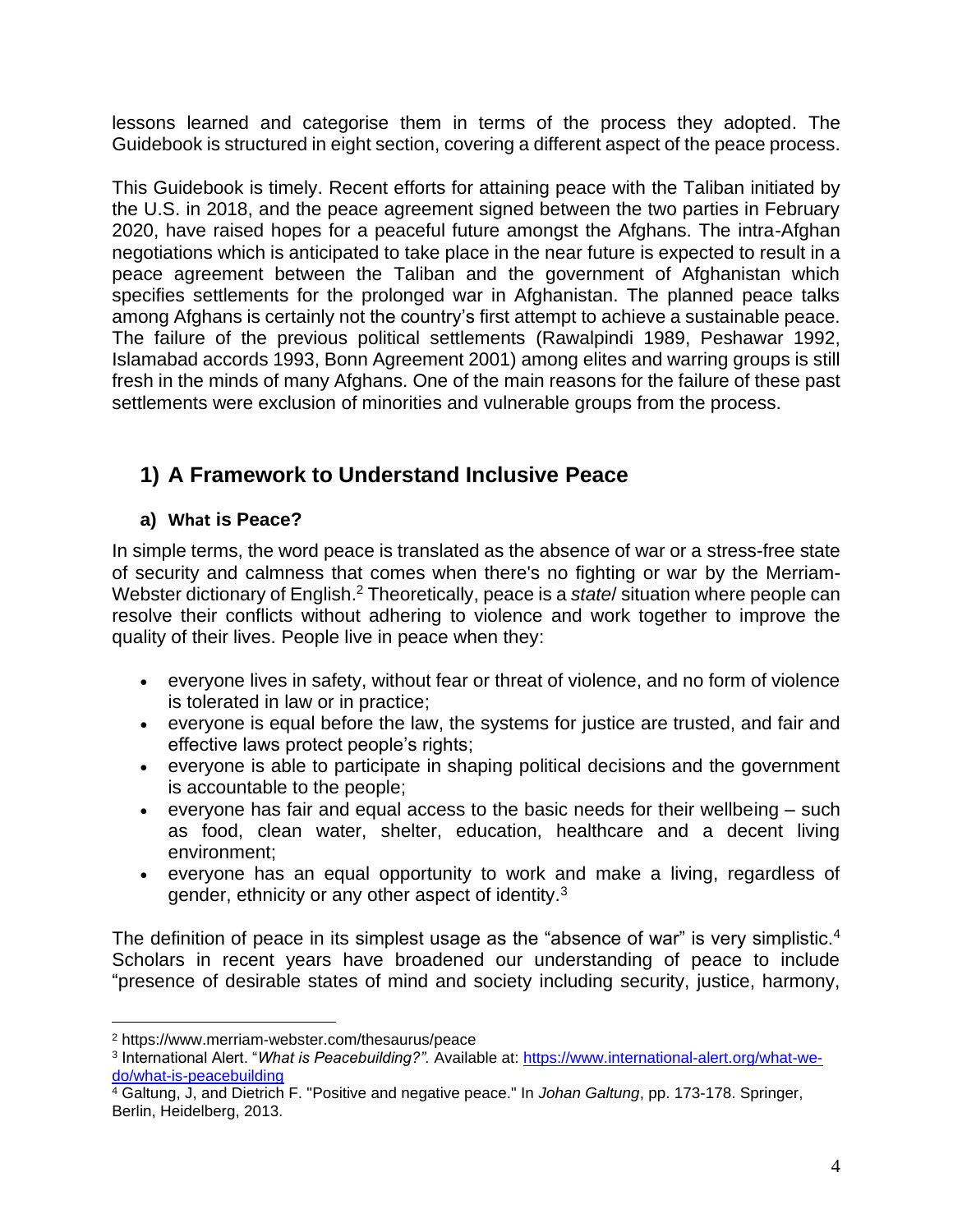lessons learned and categorise them in terms of the process they adopted. The Guidebook is structured in eight section, covering a different aspect of the peace process.

This Guidebook is timely. Recent efforts for attaining peace with the Taliban initiated by the U.S. in 2018, and the peace agreement signed between the two parties in February 2020, have raised hopes for a peaceful future amongst the Afghans. The intra-Afghan negotiations which is anticipated to take place in the near future is expected to result in a peace agreement between the Taliban and the government of Afghanistan which specifies settlements for the prolonged war in Afghanistan. The planned peace talks among Afghans is certainly not the country's first attempt to achieve a sustainable peace. The failure of the previous political settlements (Rawalpindi 1989, Peshawar 1992, Islamabad accords 1993, Bonn Agreement 2001) among elites and warring groups is still fresh in the minds of many Afghans. One of the main reasons for the failure of these past settlements were exclusion of minorities and vulnerable groups from the process.

# <span id="page-4-0"></span>**1) A Framework to Understand Inclusive Peace**

# <span id="page-4-1"></span>**a) What is Peace?**

In simple terms, the word peace is translated as the absence of war or a stress-free state of security and calmness that comes when there's no fighting or war by the Merriam-Webster dictionary of English. <sup>2</sup> Theoretically, peace is a *state*/ situation where people can resolve their conflicts without adhering to violence and work together to improve the quality of their lives. People live in peace when they:

- everyone lives in safety, without fear or threat of violence, and no form of violence is tolerated in law or in practice;
- everyone is equal before the law, the systems for justice are trusted, and fair and effective laws protect people's rights;
- everyone is able to participate in shaping political decisions and the government is accountable to the people;
- everyone has fair and equal access to the basic needs for their wellbeing such as food, clean water, shelter, education, healthcare and a decent living environment;
- everyone has an equal opportunity to work and make a living, regardless of gender, ethnicity or any other aspect of identity.<sup>3</sup>

The definition of peace in its simplest usage as the "absence of war" is very simplistic.<sup>4</sup> Scholars in recent years have broadened our understanding of peace to include "presence of desirable states of mind and society including security, justice, harmony,

<sup>2</sup> https://www.merriam-webster.com/thesaurus/peace

<sup>3</sup> International Alert. "*What is Peacebuilding?".* Available at: [https://www.international-alert.org/what-we](https://www.international-alert.org/what-we-do/what-is-peacebuilding)[do/what-is-peacebuilding](https://www.international-alert.org/what-we-do/what-is-peacebuilding)

<sup>4</sup> Galtung, J, and Dietrich F. "Positive and negative peace." In *Johan Galtung*, pp. 173-178. Springer, Berlin, Heidelberg, 2013.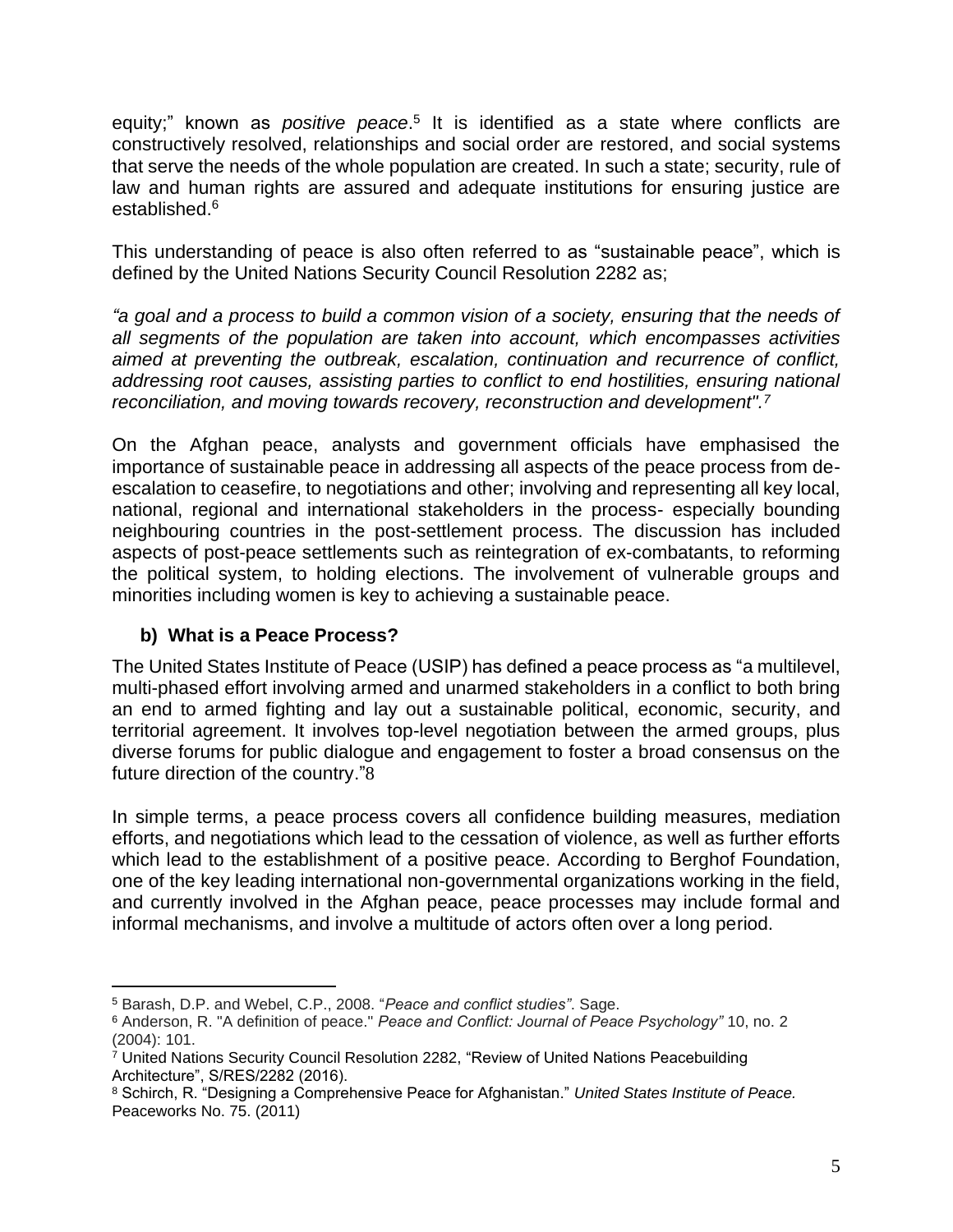equity;" known as *positive peace*.<sup>5</sup> It is identified as a state where conflicts are constructively resolved, relationships and social order are restored, and social systems that serve the needs of the whole population are created. In such a state; security, rule of law and human rights are assured and adequate institutions for ensuring justice are established. 6

This understanding of peace is also often referred to as "sustainable peace", which is defined by the United Nations Security Council Resolution 2282 as;

*"a goal and a process to build a common vision of a society, ensuring that the needs of all segments of the population are taken into account, which encompasses activities aimed at preventing the outbreak, escalation, continuation and recurrence of conflict, addressing root causes, assisting parties to conflict to end hostilities, ensuring national reconciliation, and moving towards recovery, reconstruction and development".<sup>7</sup>*

On the Afghan peace, analysts and government officials have emphasised the importance of sustainable peace in addressing all aspects of the peace process from deescalation to ceasefire, to negotiations and other; involving and representing all key local, national, regional and international stakeholders in the process- especially bounding neighbouring countries in the post-settlement process. The discussion has included aspects of post-peace settlements such as reintegration of ex-combatants, to reforming the political system, to holding elections. The involvement of vulnerable groups and minorities including women is key to achieving a sustainable peace.

# <span id="page-5-0"></span>**b) What is a Peace Process?**

The United States Institute of Peace (USIP) has defined a peace process as "a multilevel, multi-phased effort involving armed and unarmed stakeholders in a conflict to both bring an end to armed fighting and lay out a sustainable political, economic, security, and territorial agreement. It involves top-level negotiation between the armed groups, plus diverse forums for public dialogue and engagement to foster a broad consensus on the future direction of the country."8

In simple terms, a peace process covers all confidence building measures, mediation efforts, and negotiations which lead to the cessation of violence, as well as further efforts which lead to the establishment of a positive peace. According to Berghof Foundation, one of the key leading international non-governmental organizations working in the field, and currently involved in the Afghan peace, peace processes may include formal and informal mechanisms, and involve a multitude of actors often over a long period.

<sup>5</sup> Barash, D.P. and Webel, C.P., 2008. "*Peace and conflict studies"*. Sage.

<sup>6</sup> Anderson, R. "A definition of peace." *Peace and Conflict: Journal of Peace Psychology"* 10, no. 2 (2004): 101.

 $7$  United Nations Security Council Resolution 2282, "Review of United Nations Peacebuilding Architecture", S/RES/2282 (2016).

<sup>8</sup> Schirch, R. "Designing a Comprehensive Peace for Afghanistan." *United States Institute of Peace.*  Peaceworks No. 75. (2011)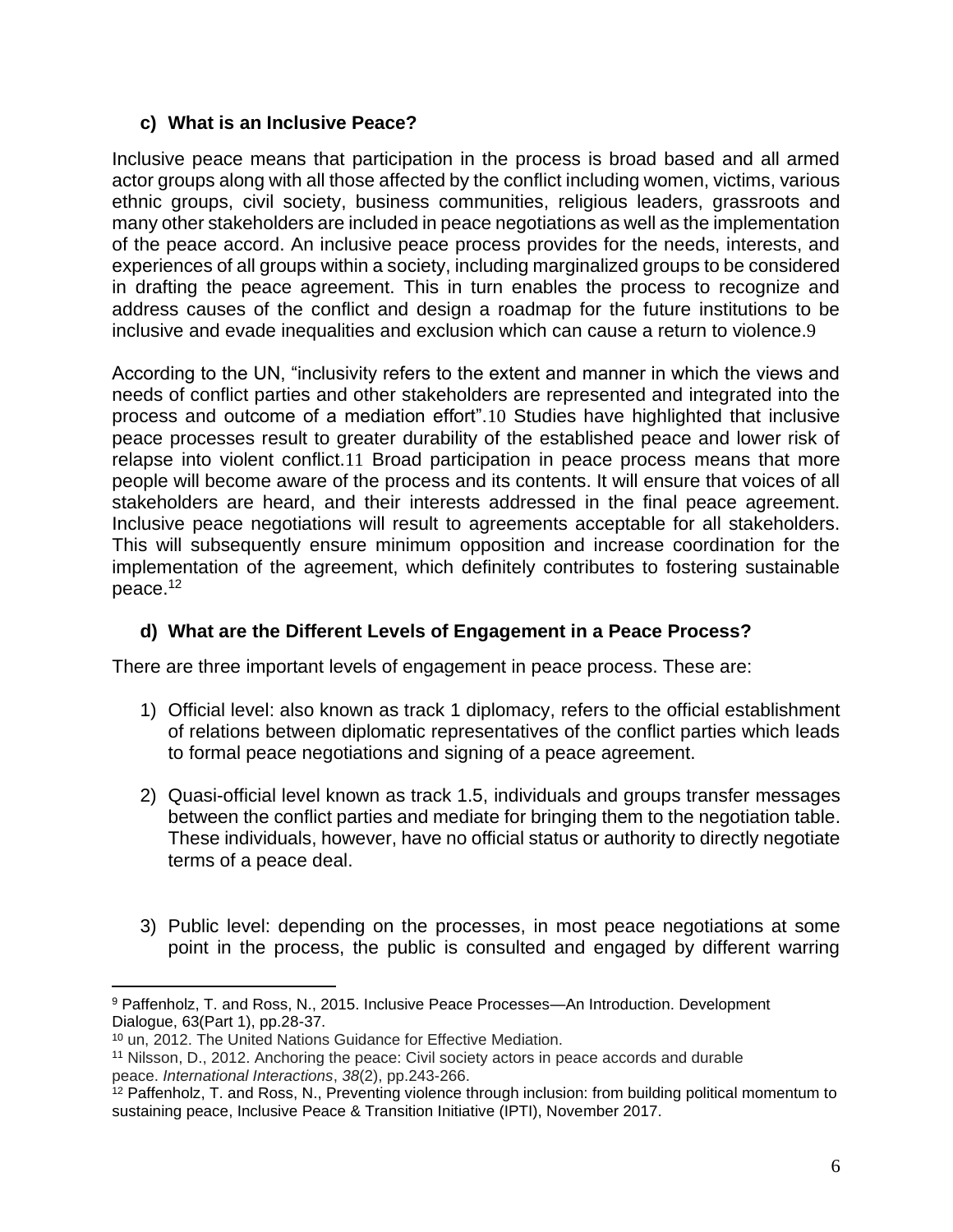# **c) What is an Inclusive Peace?**

Inclusive peace means that participation in the process is broad based and all armed actor groups along with all those affected by the conflict including women, victims, various ethnic groups, civil society, business communities, religious leaders, grassroots and many other stakeholders are included in peace negotiations as well as the implementation of the peace accord. An inclusive peace process provides for the needs, interests, and experiences of all groups within a society, including marginalized groups to be considered in drafting the peace agreement. This in turn enables the process to recognize and address causes of the conflict and design a roadmap for the future institutions to be inclusive and evade inequalities and exclusion which can cause a return to violence.9

According to the UN, "inclusivity refers to the extent and manner in which the views and needs of conflict parties and other stakeholders are represented and integrated into the process and outcome of a mediation effort".10 Studies have highlighted that inclusive peace processes result to greater durability of the established peace and lower risk of relapse into violent conflict.11 Broad participation in peace process means that more people will become aware of the process and its contents. It will ensure that voices of all stakeholders are heard, and their interests addressed in the final peace agreement. Inclusive peace negotiations will result to agreements acceptable for all stakeholders. This will subsequently ensure minimum opposition and increase coordination for the implementation of the agreement, which definitely contributes to fostering sustainable peace.<sup>12</sup>

# **d) What are the Different Levels of Engagement in a Peace Process?**

There are three important levels of engagement in peace process. These are:

- 1) Official level: also known as track 1 diplomacy, refers to the official establishment of relations between diplomatic representatives of the conflict parties which leads to formal peace negotiations and signing of a peace agreement.
- 2) Quasi-official level known as track 1.5, individuals and groups transfer messages between the conflict parties and mediate for bringing them to the negotiation table. These individuals, however, have no official status or authority to directly negotiate terms of a peace deal.
- 3) Public level: depending on the processes, in most peace negotiations at some point in the process, the public is consulted and engaged by different warring

<sup>9</sup> Paffenholz, T. and Ross, N., 2015. Inclusive Peace Processes—An Introduction. Development Dialogue, 63(Part 1), pp.28-37.

<sup>10</sup> un, 2012. The United Nations Guidance for Effective Mediation.

<sup>11</sup> Nilsson, D., 2012. Anchoring the peace: Civil society actors in peace accords and durable peace. *International Interactions*, *38*(2), pp.243-266.

 $12$  Paffenholz, T. and Ross, N., Preventing violence through inclusion: from building political momentum to sustaining peace, Inclusive Peace & Transition Initiative (IPTI), November 2017.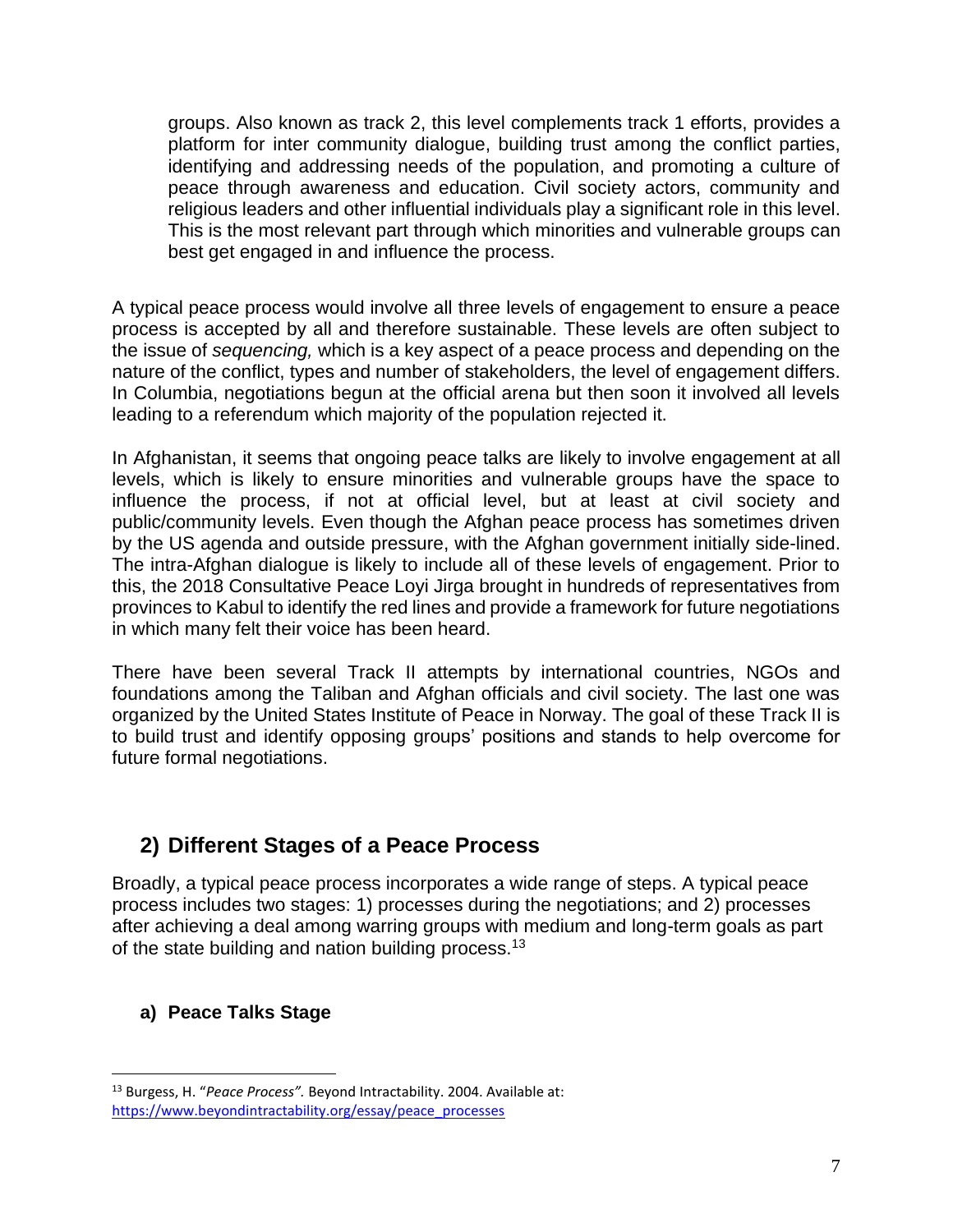groups. Also known as track 2, this level complements track 1 efforts, provides a platform for inter community dialogue, building trust among the conflict parties, identifying and addressing needs of the population, and promoting a culture of peace through awareness and education. Civil society actors, community and religious leaders and other influential individuals play a significant role in this level. This is the most relevant part through which minorities and vulnerable groups can best get engaged in and influence the process.

A typical peace process would involve all three levels of engagement to ensure a peace process is accepted by all and therefore sustainable. These levels are often subject to the issue of *sequencing,* which is a key aspect of a peace process and depending on the nature of the conflict, types and number of stakeholders, the level of engagement differs. In Columbia, negotiations begun at the official arena but then soon it involved all levels leading to a referendum which majority of the population rejected it.

In Afghanistan, it seems that ongoing peace talks are likely to involve engagement at all levels, which is likely to ensure minorities and vulnerable groups have the space to influence the process, if not at official level, but at least at civil society and public/community levels. Even though the Afghan peace process has sometimes driven by the US agenda and outside pressure, with the Afghan government initially side-lined. The intra-Afghan dialogue is likely to include all of these levels of engagement. Prior to this, the 2018 Consultative Peace Loyi Jirga brought in hundreds of representatives from provinces to Kabul to identify the red lines and provide a framework for future negotiations in which many felt their voice has been heard.

There have been several Track II attempts by international countries, NGOs and foundations among the Taliban and Afghan officials and civil society. The last one was organized by the United States Institute of Peace in Norway. The goal of these Track II is to build trust and identify opposing groups' positions and stands to help overcome for future formal negotiations.

# **2) Different Stages of a Peace Process**

Broadly, a typical peace process incorporates a wide range of steps. A typical peace process includes two stages: 1) processes during the negotiations; and 2) processes after achieving a deal among warring groups with medium and long-term goals as part of the state building and nation building process.<sup>13</sup>

# **a) Peace Talks Stage**

<sup>13</sup> Burgess, H. "*Peace Process".* Beyond Intractability. 2004. Available at: [https://www.beyondintractability.org/essay/peace\\_processes](https://www.beyondintractability.org/essay/peace_processes)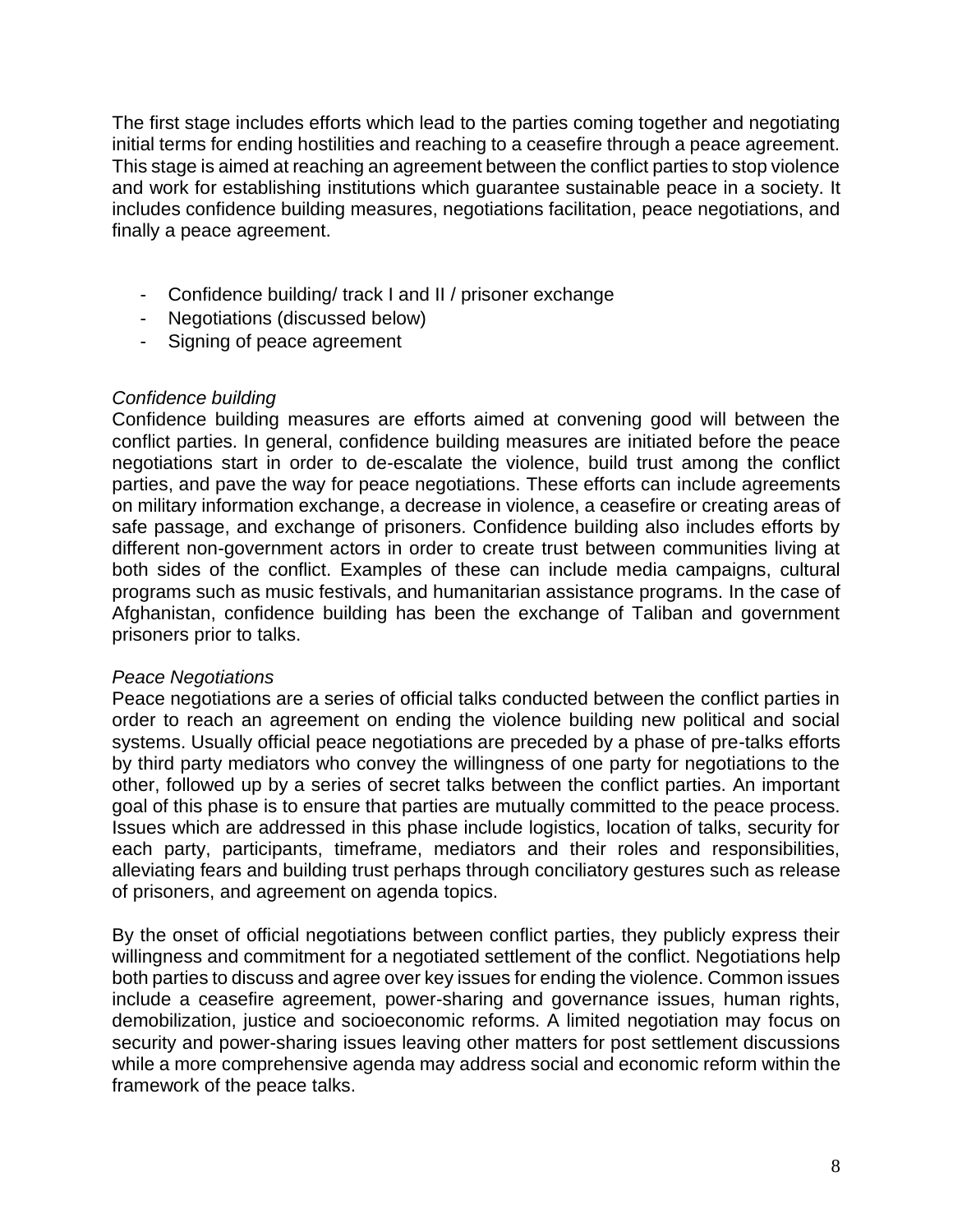The first stage includes efforts which lead to the parties coming together and negotiating initial terms for ending hostilities and reaching to a ceasefire through a peace agreement. This stage is aimed at reaching an agreement between the conflict parties to stop violence and work for establishing institutions which guarantee sustainable peace in a society. It includes confidence building measures, negotiations facilitation, peace negotiations, and finally a peace agreement.

- Confidence building/ track I and II / prisoner exchange
- Negotiations (discussed below)
- Signing of peace agreement

# *Confidence building*

Confidence building measures are efforts aimed at convening good will between the conflict parties. In general, confidence building measures are initiated before the peace negotiations start in order to de-escalate the violence, build trust among the conflict parties, and pave the way for peace negotiations. These efforts can include agreements on military information exchange, a decrease in violence, a ceasefire or creating areas of safe passage, and exchange of prisoners. Confidence building also includes efforts by different non-government actors in order to create trust between communities living at both sides of the conflict. Examples of these can include media campaigns, cultural programs such as music festivals, and humanitarian assistance programs. In the case of Afghanistan, confidence building has been the exchange of Taliban and government prisoners prior to talks.

# *Peace Negotiations*

Peace negotiations are a series of official talks conducted between the conflict parties in order to reach an agreement on ending the violence building new political and social systems. Usually official peace negotiations are preceded by a phase of pre-talks efforts by third party mediators who convey the willingness of one party for negotiations to the other, followed up by a series of secret talks between the conflict parties. An important goal of this phase is to ensure that parties are mutually committed to the peace process. Issues which are addressed in this phase include logistics, location of talks, security for each party, participants, timeframe, mediators and their roles and responsibilities, alleviating fears and building trust perhaps through conciliatory gestures such as release of prisoners, and agreement on agenda topics.

By the onset of official negotiations between conflict parties, they publicly express their willingness and commitment for a negotiated settlement of the conflict. Negotiations help both parties to discuss and agree over key issues for ending the violence. Common issues include a ceasefire agreement, power-sharing and governance issues, human rights, demobilization, justice and socioeconomic reforms. A limited negotiation may focus on security and power-sharing issues leaving other matters for post settlement discussions while a more comprehensive agenda may address social and economic reform within the framework of the peace talks.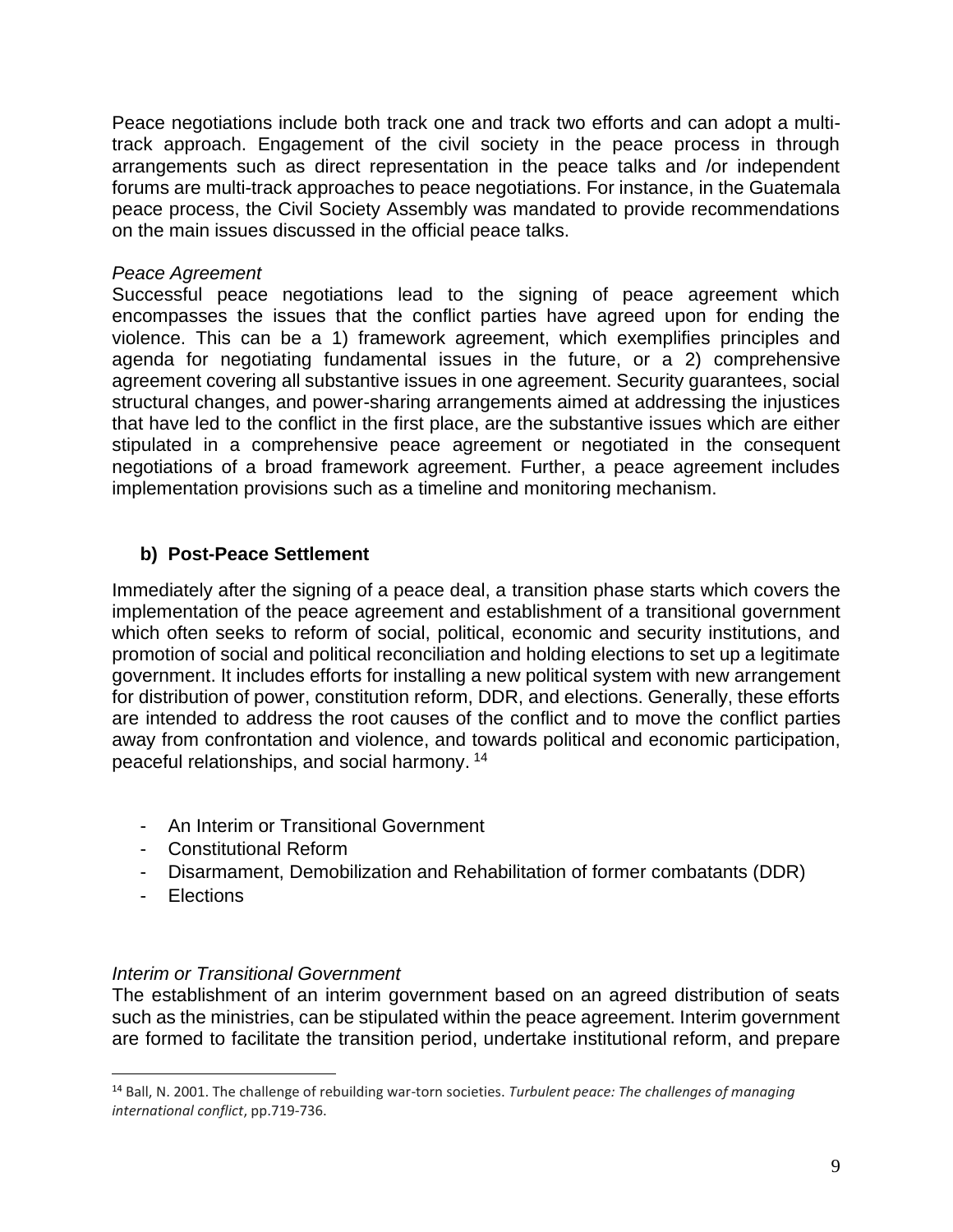Peace negotiations include both track one and track two efforts and can adopt a multitrack approach. Engagement of the civil society in the peace process in through arrangements such as direct representation in the peace talks and /or independent forums are multi-track approaches to peace negotiations. For instance, in the Guatemala peace process, the Civil Society Assembly was mandated to provide recommendations on the main issues discussed in the official peace talks.

#### *Peace Agreement*

Successful peace negotiations lead to the signing of peace agreement which encompasses the issues that the conflict parties have agreed upon for ending the violence. This can be a 1) framework agreement, which exemplifies principles and agenda for negotiating fundamental issues in the future, or a 2) comprehensive agreement covering all substantive issues in one agreement. Security guarantees, social structural changes, and power-sharing arrangements aimed at addressing the injustices that have led to the conflict in the first place, are the substantive issues which are either stipulated in a comprehensive peace agreement or negotiated in the consequent negotiations of a broad framework agreement. Further, a peace agreement includes implementation provisions such as a timeline and monitoring mechanism.

# **b) Post-Peace Settlement**

Immediately after the signing of a peace deal, a transition phase starts which covers the implementation of the peace agreement and establishment of a transitional government which often seeks to reform of social, political, economic and security institutions, and promotion of social and political reconciliation and holding elections to set up a legitimate government. It includes efforts for installing a new political system with new arrangement for distribution of power, constitution reform, DDR, and elections. Generally, these efforts are intended to address the root causes of the conflict and to move the conflict parties away from confrontation and violence, and towards political and economic participation, peaceful relationships, and social harmony. <sup>14</sup>

- An Interim or Transitional Government
- Constitutional Reform
- Disarmament, Demobilization and Rehabilitation of former combatants (DDR)
- Elections

# *Interim or Transitional Government*

The establishment of an interim government based on an agreed distribution of seats such as the ministries, can be stipulated within the peace agreement. Interim government are formed to facilitate the transition period, undertake institutional reform, and prepare

<sup>14</sup> Ball, N. 2001. The challenge of rebuilding war-torn societies. *Turbulent peace: The challenges of managing international conflict*, pp.719-736.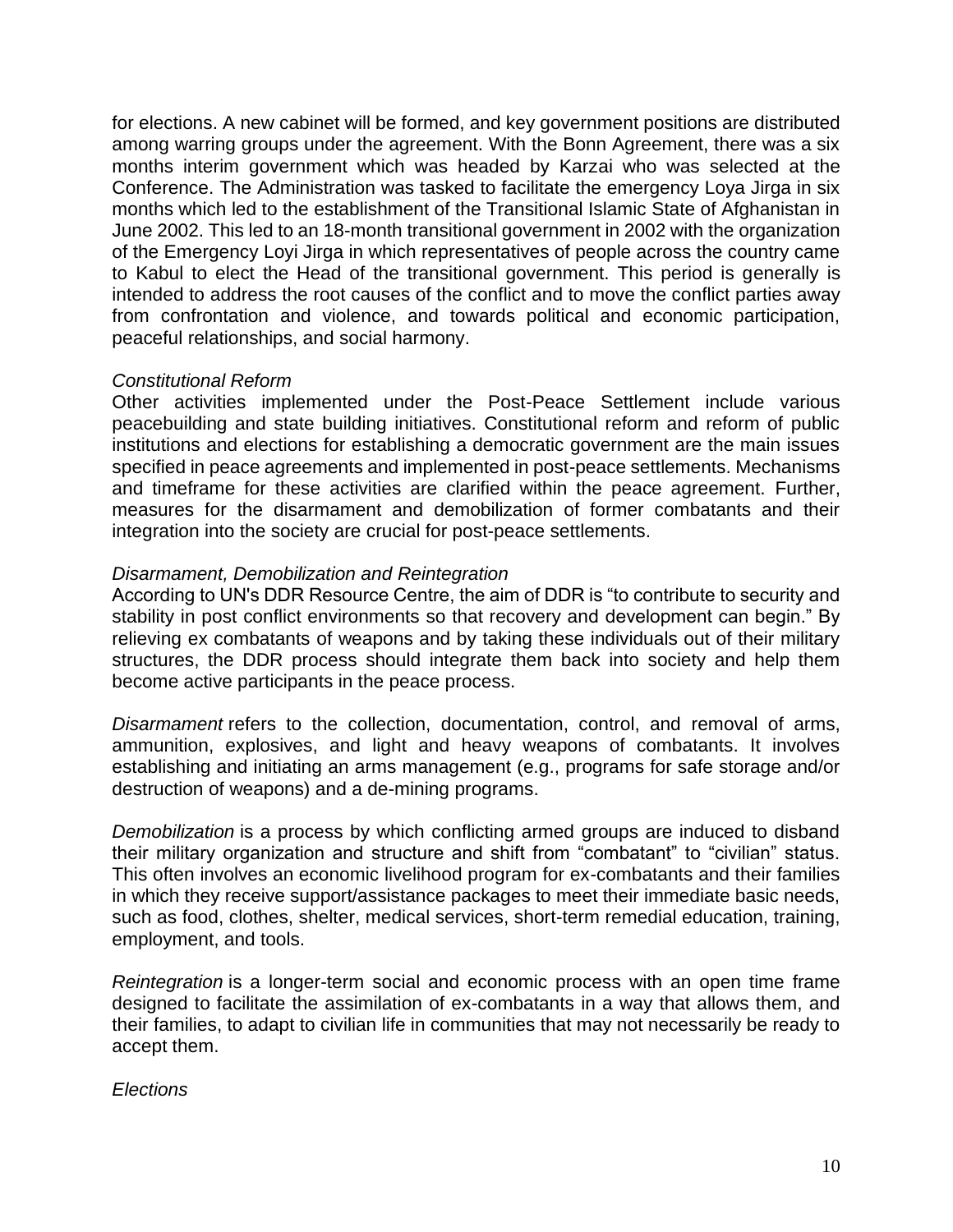for elections. A new cabinet will be formed, and key government positions are distributed among warring groups under the agreement. With the Bonn Agreement, there was a six months interim government which was headed by Karzai who was selected at the Conference. The Administration was tasked to facilitate the emergency Loya Jirga in six months which led to the establishment of the Transitional Islamic State of Afghanistan in June 2002. This led to an 18-month transitional government in 2002 with the organization of the Emergency Loyi Jirga in which representatives of people across the country came to Kabul to elect the Head of the transitional government. This period is generally is intended to address the root causes of the conflict and to move the conflict parties away from confrontation and violence, and towards political and economic participation, peaceful relationships, and social harmony.

#### *Constitutional Reform*

Other activities implemented under the Post-Peace Settlement include various peacebuilding and state building initiatives. Constitutional reform and reform of public institutions and elections for establishing a democratic government are the main issues specified in peace agreements and implemented in post-peace settlements. Mechanisms and timeframe for these activities are clarified within the peace agreement. Further, measures for the disarmament and demobilization of former combatants and their integration into the society are crucial for post-peace settlements.

#### *Disarmament, Demobilization and Reintegration*

According to UN's DDR Resource Centre, the aim of DDR is "to contribute to security and stability in post conflict environments so that recovery and development can begin." By relieving ex combatants of weapons and by taking these individuals out of their military structures, the DDR process should integrate them back into society and help them become active participants in the peace process.

*Disarmament* refers to the collection, documentation, control, and removal of arms, ammunition, explosives, and light and heavy weapons of combatants. It involves establishing and initiating an arms management (e.g., programs for safe storage and/or destruction of weapons) and a de-mining programs.

*Demobilization* is a process by which conflicting armed groups are induced to disband their military organization and structure and shift from "combatant" to "civilian" status. This often involves an economic livelihood program for ex-combatants and their families in which they receive support/assistance packages to meet their immediate basic needs, such as food, clothes, shelter, medical services, short-term remedial education, training, employment, and tools.

*Reintegration* is a longer-term social and economic process with an open time frame designed to facilitate the assimilation of ex-combatants in a way that allows them, and their families, to adapt to civilian life in communities that may not necessarily be ready to accept them.

# *Elections*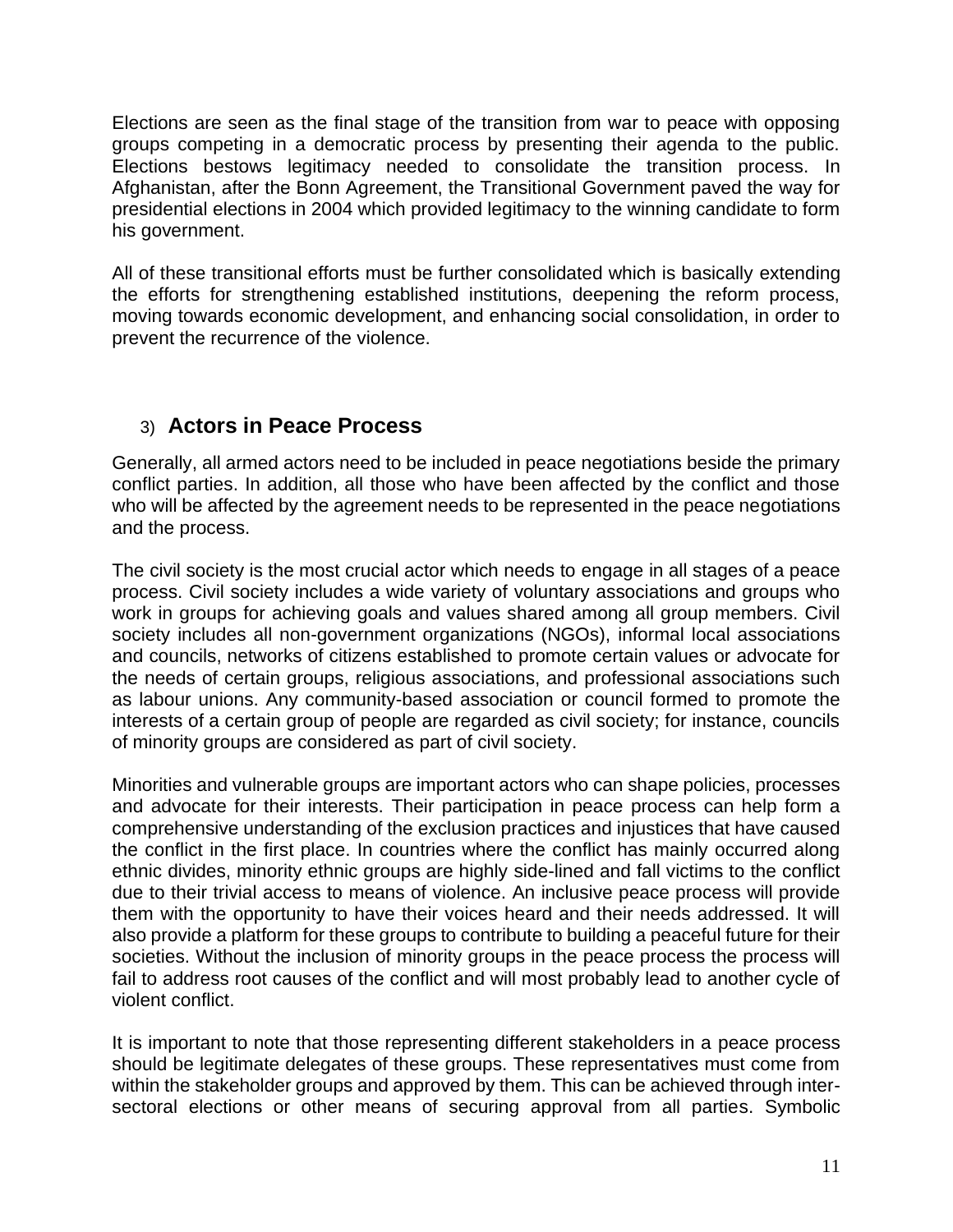Elections are seen as the final stage of the transition from war to peace with opposing groups competing in a democratic process by presenting their agenda to the public. Elections bestows legitimacy needed to consolidate the transition process. In Afghanistan, after the Bonn Agreement, the Transitional Government paved the way for presidential elections in 2004 which provided legitimacy to the winning candidate to form his government.

All of these transitional efforts must be further consolidated which is basically extending the efforts for strengthening established institutions, deepening the reform process, moving towards economic development, and enhancing social consolidation, in order to prevent the recurrence of the violence.

# 3) **Actors in Peace Process**

Generally, all armed actors need to be included in peace negotiations beside the primary conflict parties. In addition, all those who have been affected by the conflict and those who will be affected by the agreement needs to be represented in the peace negotiations and the process.

The civil society is the most crucial actor which needs to engage in all stages of a peace process. Civil society includes a wide variety of voluntary associations and groups who work in groups for achieving goals and values shared among all group members. Civil society includes all non-government organizations (NGOs), informal local associations and councils, networks of citizens established to promote certain values or advocate for the needs of certain groups, religious associations, and professional associations such as labour unions. Any community-based association or council formed to promote the interests of a certain group of people are regarded as civil society; for instance, councils of minority groups are considered as part of civil society.

Minorities and vulnerable groups are important actors who can shape policies, processes and advocate for their interests. Their participation in peace process can help form a comprehensive understanding of the exclusion practices and injustices that have caused the conflict in the first place. In countries where the conflict has mainly occurred along ethnic divides, minority ethnic groups are highly side-lined and fall victims to the conflict due to their trivial access to means of violence. An inclusive peace process will provide them with the opportunity to have their voices heard and their needs addressed. It will also provide a platform for these groups to contribute to building a peaceful future for their societies. Without the inclusion of minority groups in the peace process the process will fail to address root causes of the conflict and will most probably lead to another cycle of violent conflict.

It is important to note that those representing different stakeholders in a peace process should be legitimate delegates of these groups. These representatives must come from within the stakeholder groups and approved by them. This can be achieved through intersectoral elections or other means of securing approval from all parties. Symbolic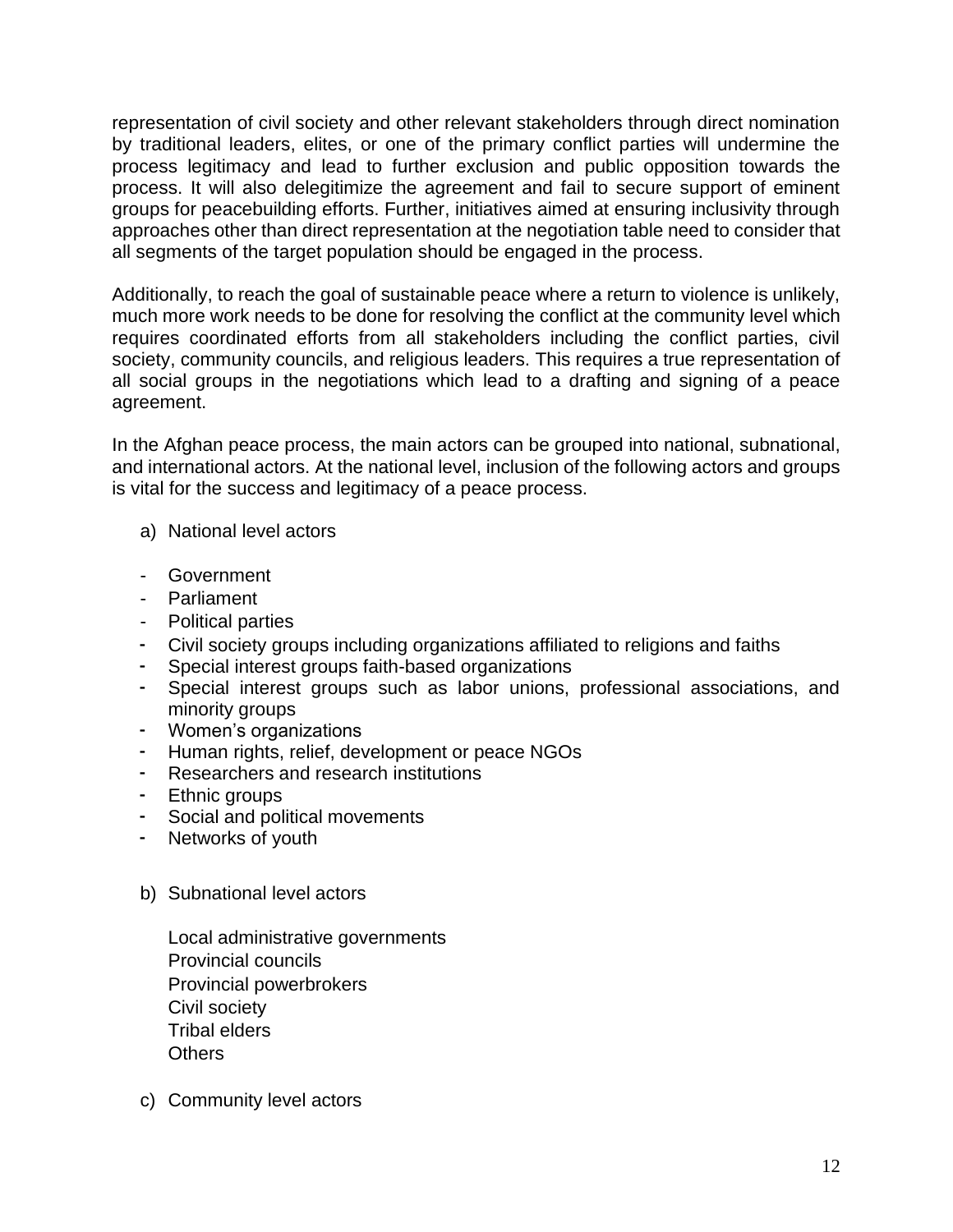representation of civil society and other relevant stakeholders through direct nomination by traditional leaders, elites, or one of the primary conflict parties will undermine the process legitimacy and lead to further exclusion and public opposition towards the process. It will also delegitimize the agreement and fail to secure support of eminent groups for peacebuilding efforts. Further, initiatives aimed at ensuring inclusivity through approaches other than direct representation at the negotiation table need to consider that all segments of the target population should be engaged in the process.

Additionally, to reach the goal of sustainable peace where a return to violence is unlikely, much more work needs to be done for resolving the conflict at the community level which requires coordinated efforts from all stakeholders including the conflict parties, civil society, community councils, and religious leaders. This requires a true representation of all social groups in the negotiations which lead to a drafting and signing of a peace agreement.

In the Afghan peace process, the main actors can be grouped into national, subnational, and international actors. At the national level, inclusion of the following actors and groups is vital for the success and legitimacy of a peace process.

- a) National level actors
- Government
- Parliament
- Political parties
- Civil society groups including organizations affiliated to religions and faiths
- Special interest groups faith-based organizations
- Special interest groups such as labor unions, professional associations, and minority groups
- Women's organizations
- Human rights, relief, development or peace NGOs
- Researchers and research institutions
- Ethnic groups
- Social and political movements
- Networks of youth
- b) Subnational level actors

Local administrative governments Provincial councils Provincial powerbrokers Civil society Tribal elders **Others** 

c) Community level actors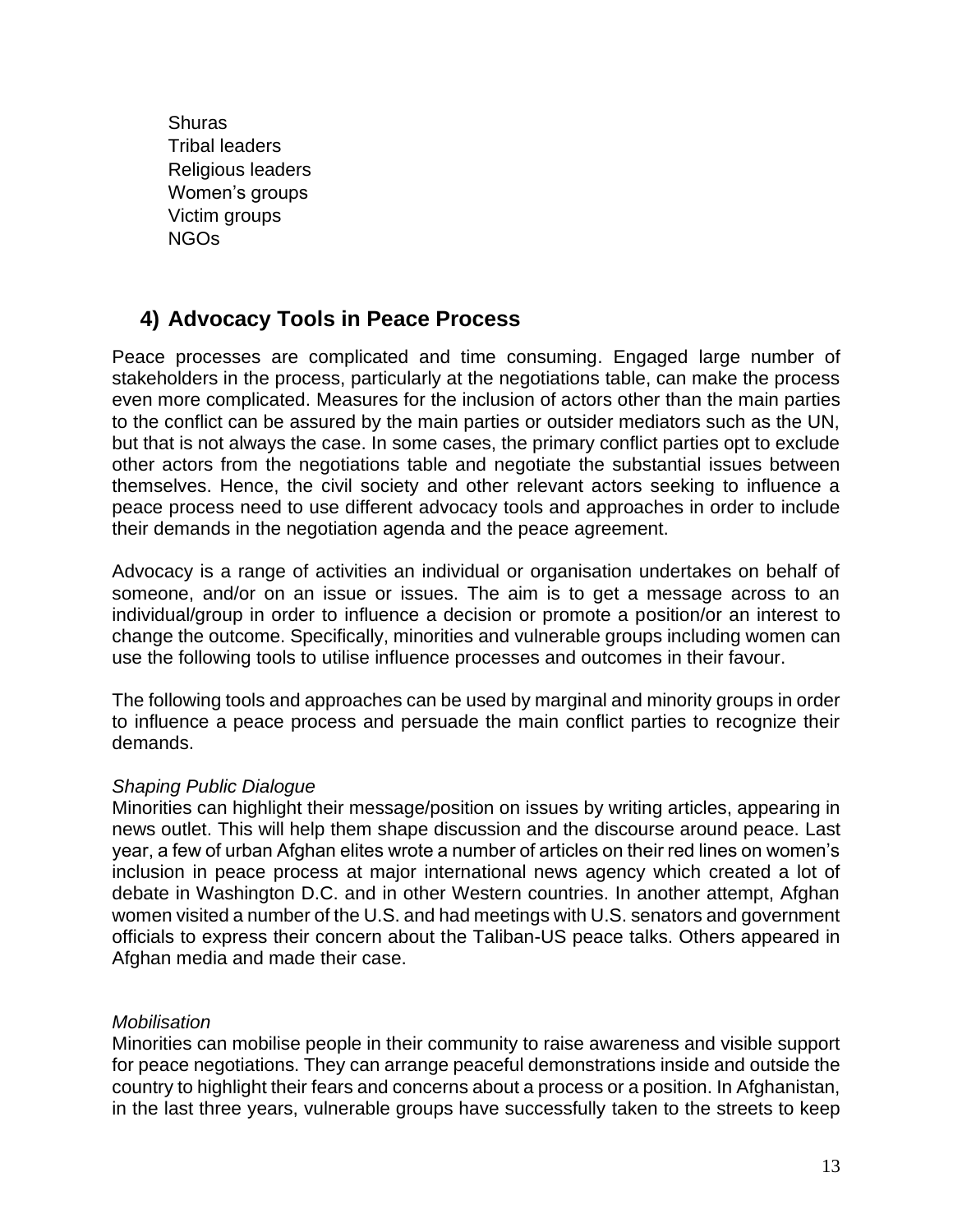**Shuras** Tribal leaders Religious leaders Women's groups Victim groups NGOs

# **4) Advocacy Tools in Peace Process**

Peace processes are complicated and time consuming. Engaged large number of stakeholders in the process, particularly at the negotiations table, can make the process even more complicated. Measures for the inclusion of actors other than the main parties to the conflict can be assured by the main parties or outsider mediators such as the UN, but that is not always the case. In some cases, the primary conflict parties opt to exclude other actors from the negotiations table and negotiate the substantial issues between themselves. Hence, the civil society and other relevant actors seeking to influence a peace process need to use different advocacy tools and approaches in order to include their demands in the negotiation agenda and the peace agreement.

Advocacy is a range of activities an individual or organisation undertakes on behalf of someone, and/or on an issue or issues. The aim is to get a message across to an individual/group in order to influence a decision or promote a position/or an interest to change the outcome. Specifically, minorities and vulnerable groups including women can use the following tools to utilise influence processes and outcomes in their favour.

The following tools and approaches can be used by marginal and minority groups in order to influence a peace process and persuade the main conflict parties to recognize their demands.

#### *Shaping Public Dialogue*

Minorities can highlight their message/position on issues by writing articles, appearing in news outlet. This will help them shape discussion and the discourse around peace. Last year, a few of urban Afghan elites wrote a number of articles on their red lines on women's inclusion in peace process at major international news agency which created a lot of debate in Washington D.C. and in other Western countries. In another attempt, Afghan women visited a number of the U.S. and had meetings with U.S. senators and government officials to express their concern about the Taliban-US peace talks. Others appeared in Afghan media and made their case.

#### *Mobilisation*

Minorities can mobilise people in their community to raise awareness and visible support for peace negotiations. They can arrange peaceful demonstrations inside and outside the country to highlight their fears and concerns about a process or a position. In Afghanistan, in the last three years, vulnerable groups have successfully taken to the streets to keep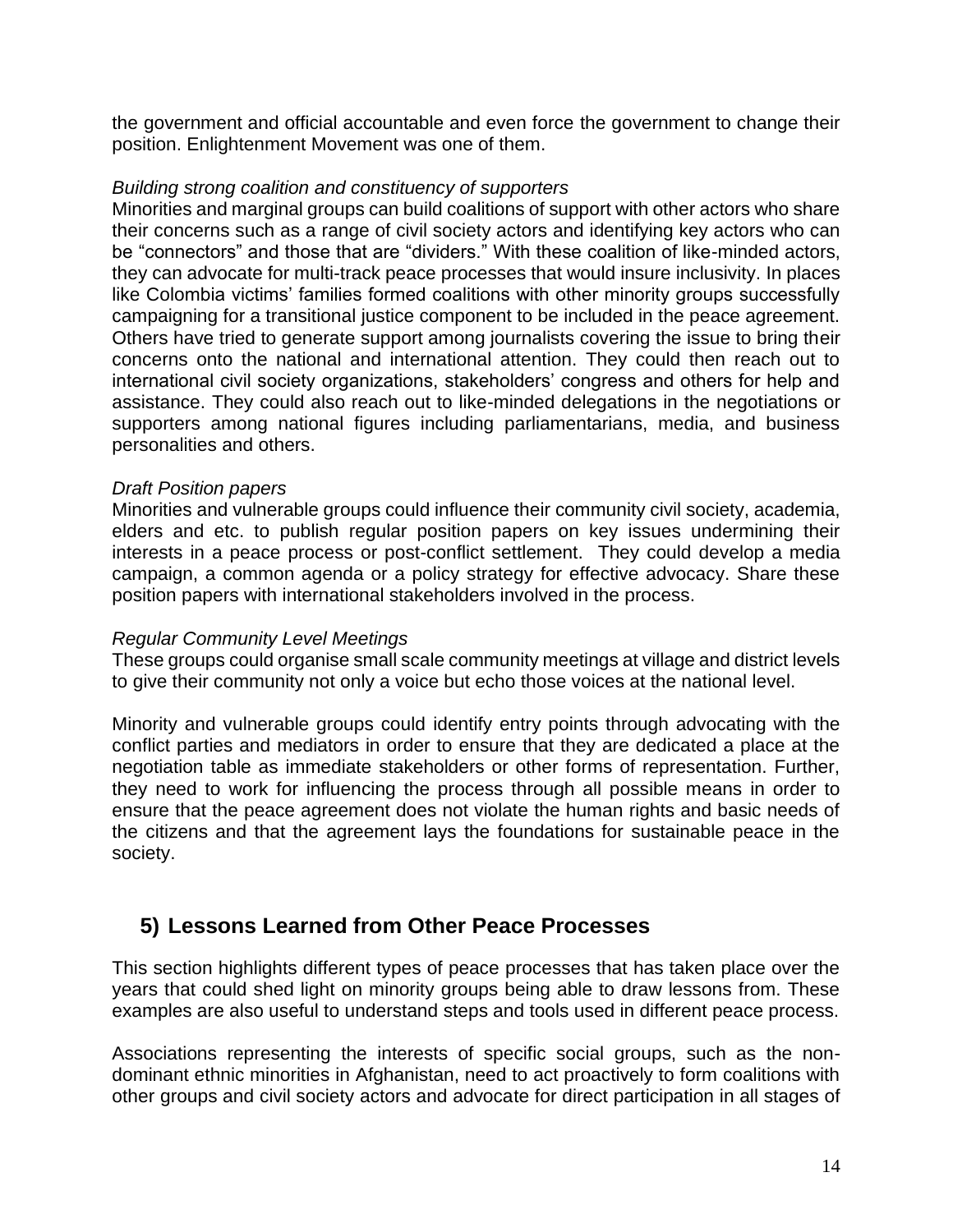the government and official accountable and even force the government to change their position. Enlightenment Movement was one of them.

#### *Building strong coalition and constituency of supporters*

Minorities and marginal groups can build coalitions of support with other actors who share their concerns such as a range of civil society actors and identifying key actors who can be "connectors" and those that are "dividers." With these coalition of like-minded actors, they can advocate for multi-track peace processes that would insure inclusivity. In places like Colombia victims' families formed coalitions with other minority groups successfully campaigning for a transitional justice component to be included in the peace agreement. Others have tried to generate support among journalists covering the issue to bring their concerns onto the national and international attention. They could then reach out to international civil society organizations, stakeholders' congress and others for help and assistance. They could also reach out to like-minded delegations in the negotiations or supporters among national figures including parliamentarians, media, and business personalities and others.

#### *Draft Position papers*

Minorities and vulnerable groups could influence their community civil society, academia, elders and etc. to publish regular position papers on key issues undermining their interests in a peace process or post-conflict settlement. They could develop a media campaign, a common agenda or a policy strategy for effective advocacy. Share these position papers with international stakeholders involved in the process.

#### *Regular Community Level Meetings*

These groups could organise small scale community meetings at village and district levels to give their community not only a voice but echo those voices at the national level.

Minority and vulnerable groups could identify entry points through advocating with the conflict parties and mediators in order to ensure that they are dedicated a place at the negotiation table as immediate stakeholders or other forms of representation. Further, they need to work for influencing the process through all possible means in order to ensure that the peace agreement does not violate the human rights and basic needs of the citizens and that the agreement lays the foundations for sustainable peace in the society.

# <span id="page-14-0"></span>**5) Lessons Learned from Other Peace Processes**

This section highlights different types of peace processes that has taken place over the years that could shed light on minority groups being able to draw lessons from. These examples are also useful to understand steps and tools used in different peace process.

Associations representing the interests of specific social groups, such as the nondominant ethnic minorities in Afghanistan, need to act proactively to form coalitions with other groups and civil society actors and advocate for direct participation in all stages of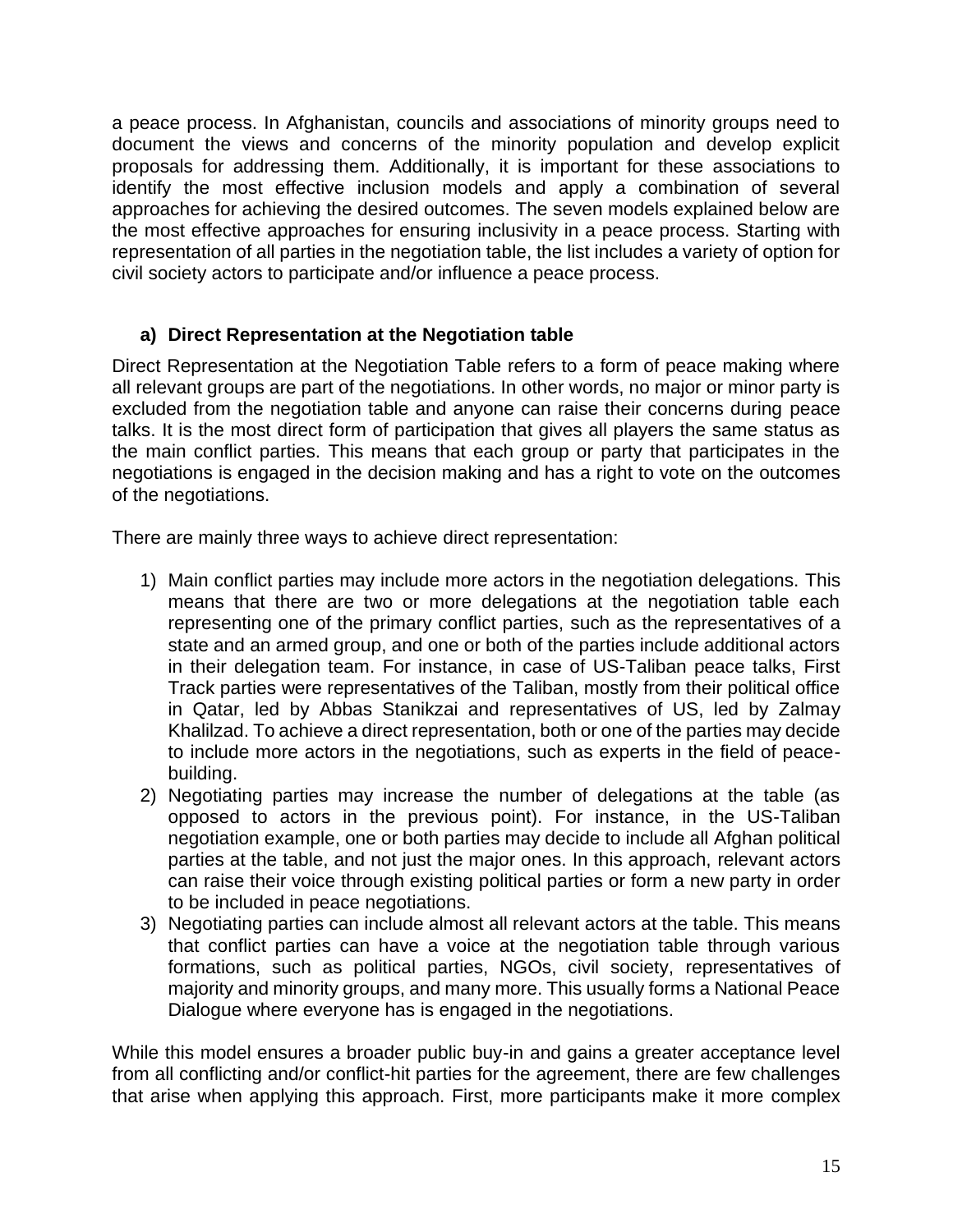a peace process. In Afghanistan, councils and associations of minority groups need to document the views and concerns of the minority population and develop explicit proposals for addressing them. Additionally, it is important for these associations to identify the most effective inclusion models and apply a combination of several approaches for achieving the desired outcomes. The seven models explained below are the most effective approaches for ensuring inclusivity in a peace process. Starting with representation of all parties in the negotiation table, the list includes a variety of option for civil society actors to participate and/or influence a peace process.

#### <span id="page-15-0"></span>**a) Direct Representation at the Negotiation table**

Direct Representation at the Negotiation Table refers to a form of peace making where all relevant groups are part of the negotiations. In other words, no major or minor party is excluded from the negotiation table and anyone can raise their concerns during peace talks. It is the most direct form of participation that gives all players the same status as the main conflict parties. This means that each group or party that participates in the negotiations is engaged in the decision making and has a right to vote on the outcomes of the negotiations.

There are mainly three ways to achieve direct representation:

- 1) Main conflict parties may include more actors in the negotiation delegations. This means that there are two or more delegations at the negotiation table each representing one of the primary conflict parties, such as the representatives of a state and an armed group, and one or both of the parties include additional actors in their delegation team. For instance, in case of US-Taliban peace talks, First Track parties were representatives of the Taliban, mostly from their political office in Qatar, led by Abbas Stanikzai and representatives of US, led by Zalmay Khalilzad. To achieve a direct representation, both or one of the parties may decide to include more actors in the negotiations, such as experts in the field of peacebuilding.
- 2) Negotiating parties may increase the number of delegations at the table (as opposed to actors in the previous point). For instance, in the US-Taliban negotiation example, one or both parties may decide to include all Afghan political parties at the table, and not just the major ones. In this approach, relevant actors can raise their voice through existing political parties or form a new party in order to be included in peace negotiations.
- 3) Negotiating parties can include almost all relevant actors at the table. This means that conflict parties can have a voice at the negotiation table through various formations, such as political parties, NGOs, civil society, representatives of majority and minority groups, and many more. This usually forms a National Peace Dialogue where everyone has is engaged in the negotiations.

While this model ensures a broader public buy-in and gains a greater acceptance level from all conflicting and/or conflict-hit parties for the agreement, there are few challenges that arise when applying this approach. First, more participants make it more complex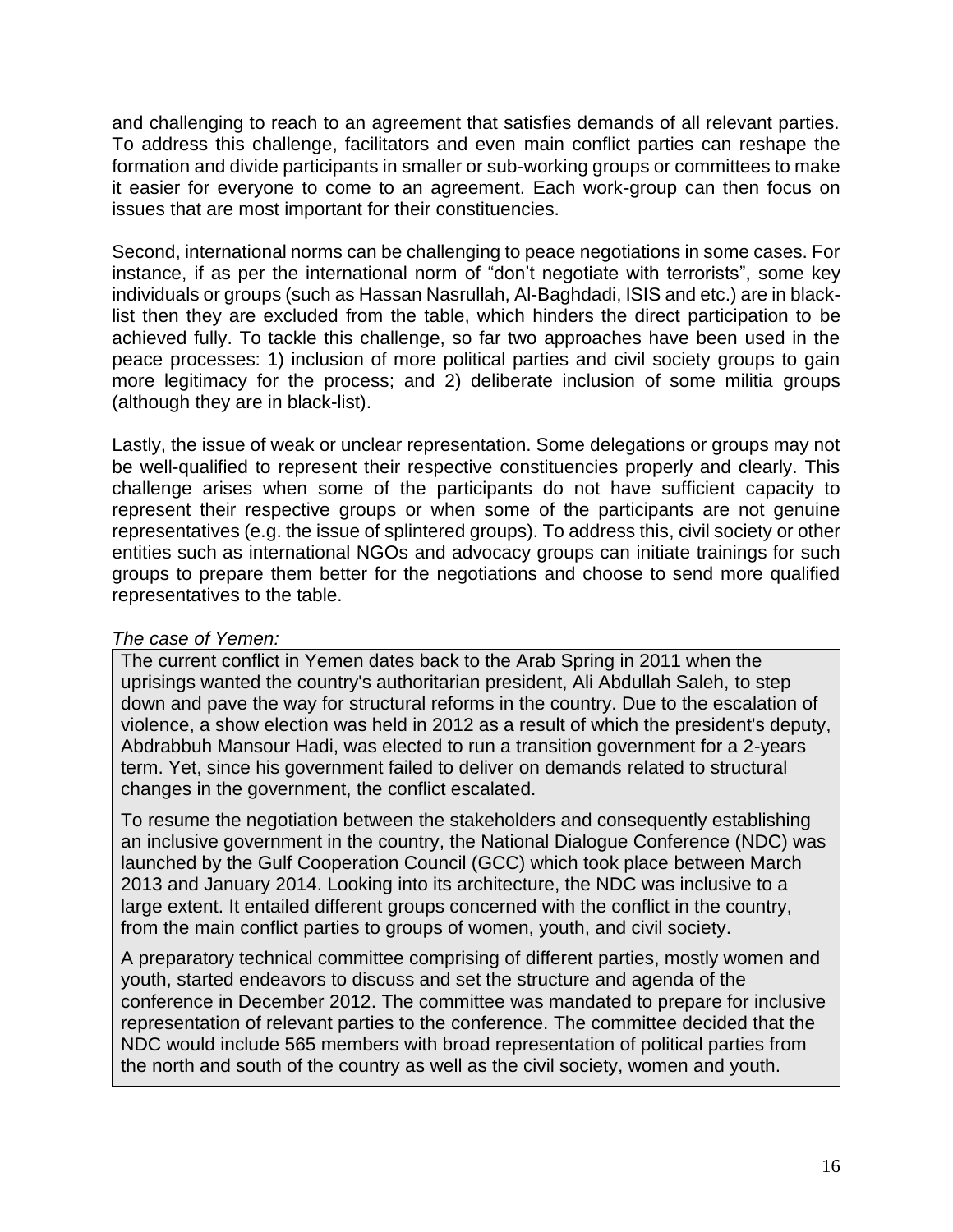and challenging to reach to an agreement that satisfies demands of all relevant parties. To address this challenge, facilitators and even main conflict parties can reshape the formation and divide participants in smaller or sub-working groups or committees to make it easier for everyone to come to an agreement. Each work-group can then focus on issues that are most important for their constituencies.

Second, international norms can be challenging to peace negotiations in some cases. For instance, if as per the international norm of "don't negotiate with terrorists", some key individuals or groups (such as Hassan Nasrullah, Al-Baghdadi, ISIS and etc.) are in blacklist then they are excluded from the table, which hinders the direct participation to be achieved fully. To tackle this challenge, so far two approaches have been used in the peace processes: 1) inclusion of more political parties and civil society groups to gain more legitimacy for the process; and 2) deliberate inclusion of some militia groups (although they are in black-list).

Lastly, the issue of weak or unclear representation. Some delegations or groups may not be well-qualified to represent their respective constituencies properly and clearly. This challenge arises when some of the participants do not have sufficient capacity to represent their respective groups or when some of the participants are not genuine representatives (e.g. the issue of splintered groups). To address this, civil society or other entities such as international NGOs and advocacy groups can initiate trainings for such groups to prepare them better for the negotiations and choose to send more qualified representatives to the table.

#### *The case of Yemen:*

The current conflict in Yemen dates back to the Arab Spring in 2011 when the uprisings wanted the country's authoritarian president, Ali Abdullah Saleh, to step down and pave the way for structural reforms in the country. Due to the escalation of violence, a show election was held in 2012 as a result of which the president's deputy, Abdrabbuh Mansour Hadi, was elected to run a transition government for a 2-years term. Yet, since his government failed to deliver on demands related to structural changes in the government, the conflict escalated.

To resume the negotiation between the stakeholders and consequently establishing an inclusive government in the country, the National Dialogue Conference (NDC) was launched by the Gulf Cooperation Council (GCC) which took place between March 2013 and January 2014. Looking into its architecture, the NDC was inclusive to a large extent. It entailed different groups concerned with the conflict in the country, from the main conflict parties to groups of women, youth, and civil society.

A preparatory technical committee comprising of different parties, mostly women and youth, started endeavors to discuss and set the structure and agenda of the conference in December 2012. The committee was mandated to prepare for inclusive representation of relevant parties to the conference. The committee decided that the NDC would include 565 members with broad representation of political parties from the north and south of the country as well as the civil society, women and youth.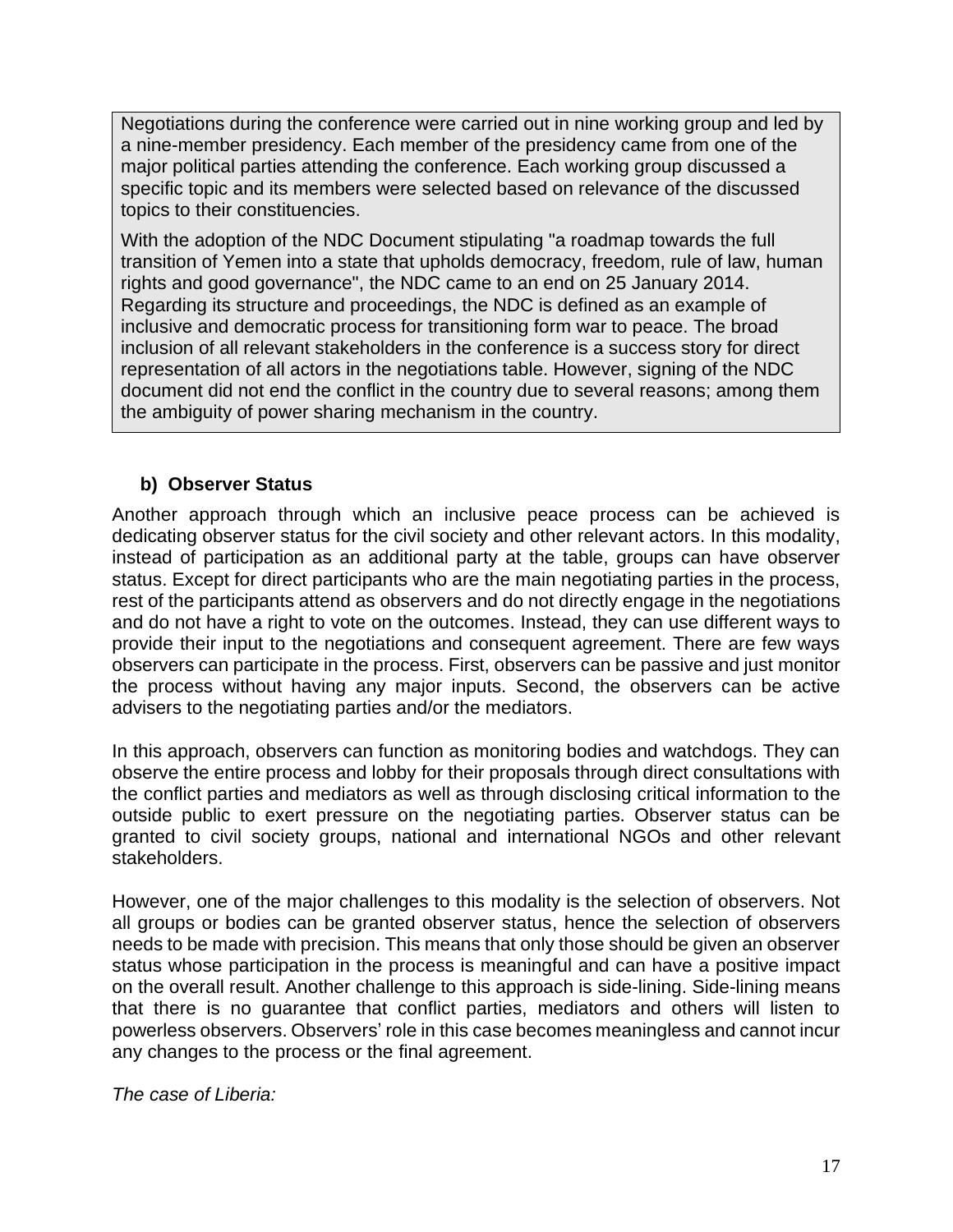Negotiations during the conference were carried out in nine working group and led by a nine-member presidency. Each member of the presidency came from one of the major political parties attending the conference. Each working group discussed a specific topic and its members were selected based on relevance of the discussed topics to their constituencies.

With the adoption of the NDC Document stipulating "a roadmap towards the full transition of Yemen into a state that upholds democracy, freedom, rule of law, human rights and good governance", the NDC came to an end on 25 January 2014. Regarding its structure and proceedings, the NDC is defined as an example of inclusive and democratic process for transitioning form war to peace. The broad inclusion of all relevant stakeholders in the conference is a success story for direct representation of all actors in the negotiations table. However, signing of the NDC document did not end the conflict in the country due to several reasons; among them the ambiguity of power sharing mechanism in the country.

# <span id="page-17-0"></span>**b) Observer Status**

Another approach through which an inclusive peace process can be achieved is dedicating observer status for the civil society and other relevant actors. In this modality, instead of participation as an additional party at the table, groups can have observer status. Except for direct participants who are the main negotiating parties in the process, rest of the participants attend as observers and do not directly engage in the negotiations and do not have a right to vote on the outcomes. Instead, they can use different ways to provide their input to the negotiations and consequent agreement. There are few ways observers can participate in the process. First, observers can be passive and just monitor the process without having any major inputs. Second, the observers can be active advisers to the negotiating parties and/or the mediators.

In this approach, observers can function as monitoring bodies and watchdogs. They can observe the entire process and lobby for their proposals through direct consultations with the conflict parties and mediators as well as through disclosing critical information to the outside public to exert pressure on the negotiating parties. Observer status can be granted to civil society groups, national and international NGOs and other relevant stakeholders.

However, one of the major challenges to this modality is the selection of observers. Not all groups or bodies can be granted observer status, hence the selection of observers needs to be made with precision. This means that only those should be given an observer status whose participation in the process is meaningful and can have a positive impact on the overall result. Another challenge to this approach is side-lining. Side-lining means that there is no guarantee that conflict parties, mediators and others will listen to powerless observers. Observers' role in this case becomes meaningless and cannot incur any changes to the process or the final agreement.

*The case of Liberia:*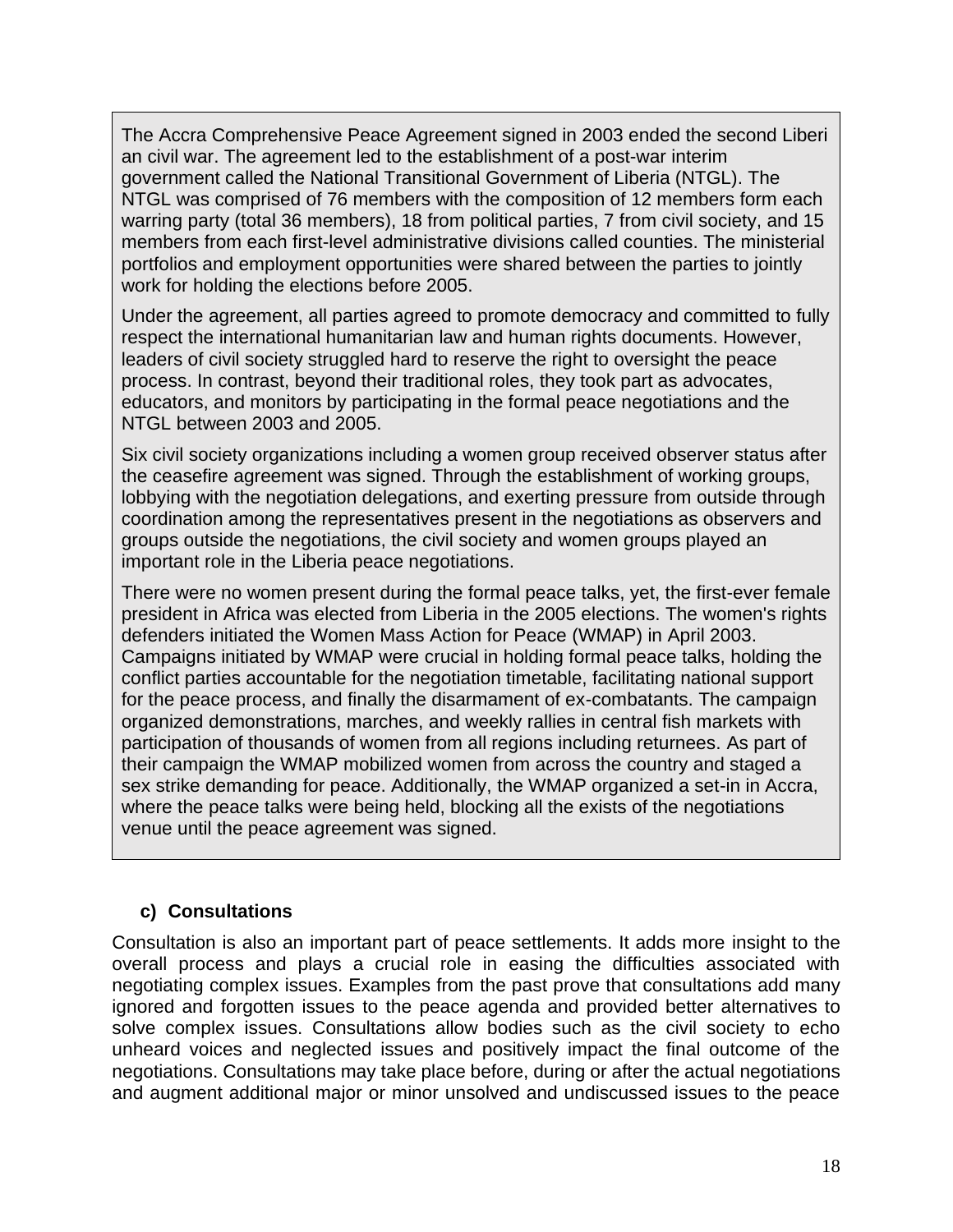The Accra Comprehensive Peace Agreement signed in 2003 ended the second Liberi an civil war. The agreement led to the establishment of a post-war interim government called the National Transitional Government of Liberia (NTGL). The NTGL was comprised of 76 members with the composition of 12 members form each warring party (total 36 members), 18 from political parties, 7 from civil society, and 15 members from each first-level administrative divisions called counties. The ministerial portfolios and employment opportunities were shared between the parties to jointly work for holding the elections before 2005.

Under the agreement, all parties agreed to promote democracy and committed to fully respect the international humanitarian law and human rights documents. However, leaders of civil society struggled hard to reserve the right to oversight the peace process. In contrast, beyond their traditional roles, they took part as advocates, educators, and monitors by participating in the formal peace negotiations and the NTGL between 2003 and 2005.

Six civil society organizations including a women group received observer status after the ceasefire agreement was signed. Through the establishment of working groups, lobbying with the negotiation delegations, and exerting pressure from outside through coordination among the representatives present in the negotiations as observers and groups outside the negotiations, the civil society and women groups played an important role in the Liberia peace negotiations.

There were no women present during the formal peace talks, yet, the first-ever female president in Africa was elected from Liberia in the 2005 elections. The women's rights defenders initiated the Women Mass Action for Peace (WMAP) in April 2003. Campaigns initiated by WMAP were crucial in holding formal peace talks, holding the conflict parties accountable for the negotiation timetable, facilitating national support for the peace process, and finally the disarmament of ex-combatants. The campaign organized demonstrations, marches, and weekly rallies in central fish markets with participation of thousands of women from all regions including returnees. As part of their campaign the WMAP mobilized women from across the country and staged a sex strike demanding for peace. Additionally, the WMAP organized a set-in in Accra, where the peace talks were being held, blocking all the exists of the negotiations venue until the peace agreement was signed.

#### <span id="page-18-0"></span>**c) Consultations**

Consultation is also an important part of peace settlements. It adds more insight to the overall process and plays a crucial role in easing the difficulties associated with negotiating complex issues. Examples from the past prove that consultations add many ignored and forgotten issues to the peace agenda and provided better alternatives to solve complex issues. Consultations allow bodies such as the civil society to echo unheard voices and neglected issues and positively impact the final outcome of the negotiations. Consultations may take place before, during or after the actual negotiations and augment additional major or minor unsolved and undiscussed issues to the peace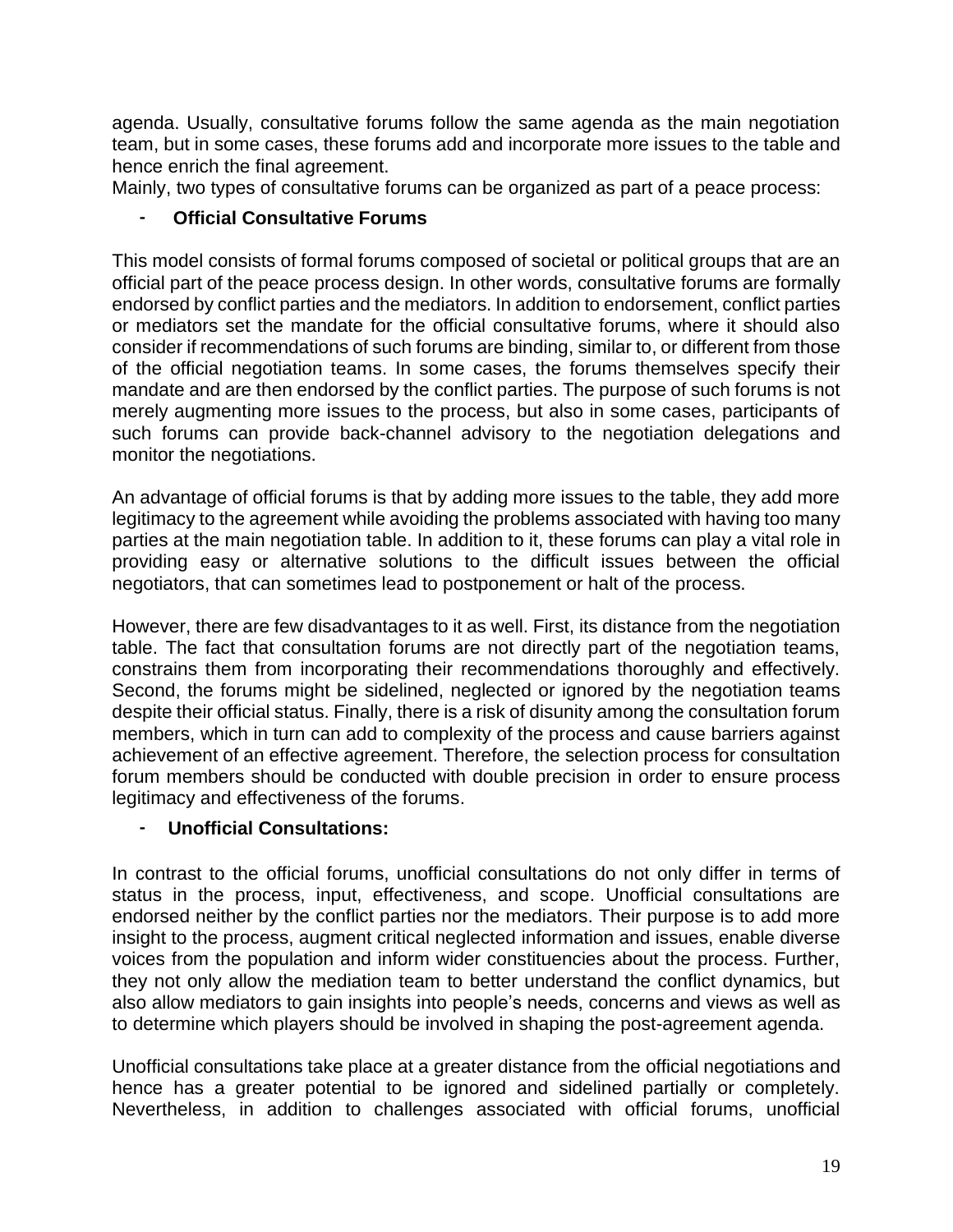agenda. Usually, consultative forums follow the same agenda as the main negotiation team, but in some cases, these forums add and incorporate more issues to the table and hence enrich the final agreement.

Mainly, two types of consultative forums can be organized as part of a peace process:

# <span id="page-19-0"></span>**Official Consultative Forums**

This model consists of formal forums composed of societal or political groups that are an official part of the peace process design. In other words, consultative forums are formally endorsed by conflict parties and the mediators. In addition to endorsement, conflict parties or mediators set the mandate for the official consultative forums, where it should also consider if recommendations of such forums are binding, similar to, or different from those of the official negotiation teams. In some cases, the forums themselves specify their mandate and are then endorsed by the conflict parties. The purpose of such forums is not merely augmenting more issues to the process, but also in some cases, participants of such forums can provide back-channel advisory to the negotiation delegations and monitor the negotiations.

An advantage of official forums is that by adding more issues to the table, they add more legitimacy to the agreement while avoiding the problems associated with having too many parties at the main negotiation table. In addition to it, these forums can play a vital role in providing easy or alternative solutions to the difficult issues between the official negotiators, that can sometimes lead to postponement or halt of the process.

However, there are few disadvantages to it as well. First, its distance from the negotiation table. The fact that consultation forums are not directly part of the negotiation teams, constrains them from incorporating their recommendations thoroughly and effectively. Second, the forums might be sidelined, neglected or ignored by the negotiation teams despite their official status. Finally, there is a risk of disunity among the consultation forum members, which in turn can add to complexity of the process and cause barriers against achievement of an effective agreement. Therefore, the selection process for consultation forum members should be conducted with double precision in order to ensure process legitimacy and effectiveness of the forums.

# <span id="page-19-1"></span>- **Unofficial Consultations:**

In contrast to the official forums, unofficial consultations do not only differ in terms of status in the process, input, effectiveness, and scope. Unofficial consultations are endorsed neither by the conflict parties nor the mediators. Their purpose is to add more insight to the process, augment critical neglected information and issues, enable diverse voices from the population and inform wider constituencies about the process. Further, they not only allow the mediation team to better understand the conflict dynamics, but also allow mediators to gain insights into people's needs, concerns and views as well as to determine which players should be involved in shaping the post-agreement agenda.

Unofficial consultations take place at a greater distance from the official negotiations and hence has a greater potential to be ignored and sidelined partially or completely. Nevertheless, in addition to challenges associated with official forums, unofficial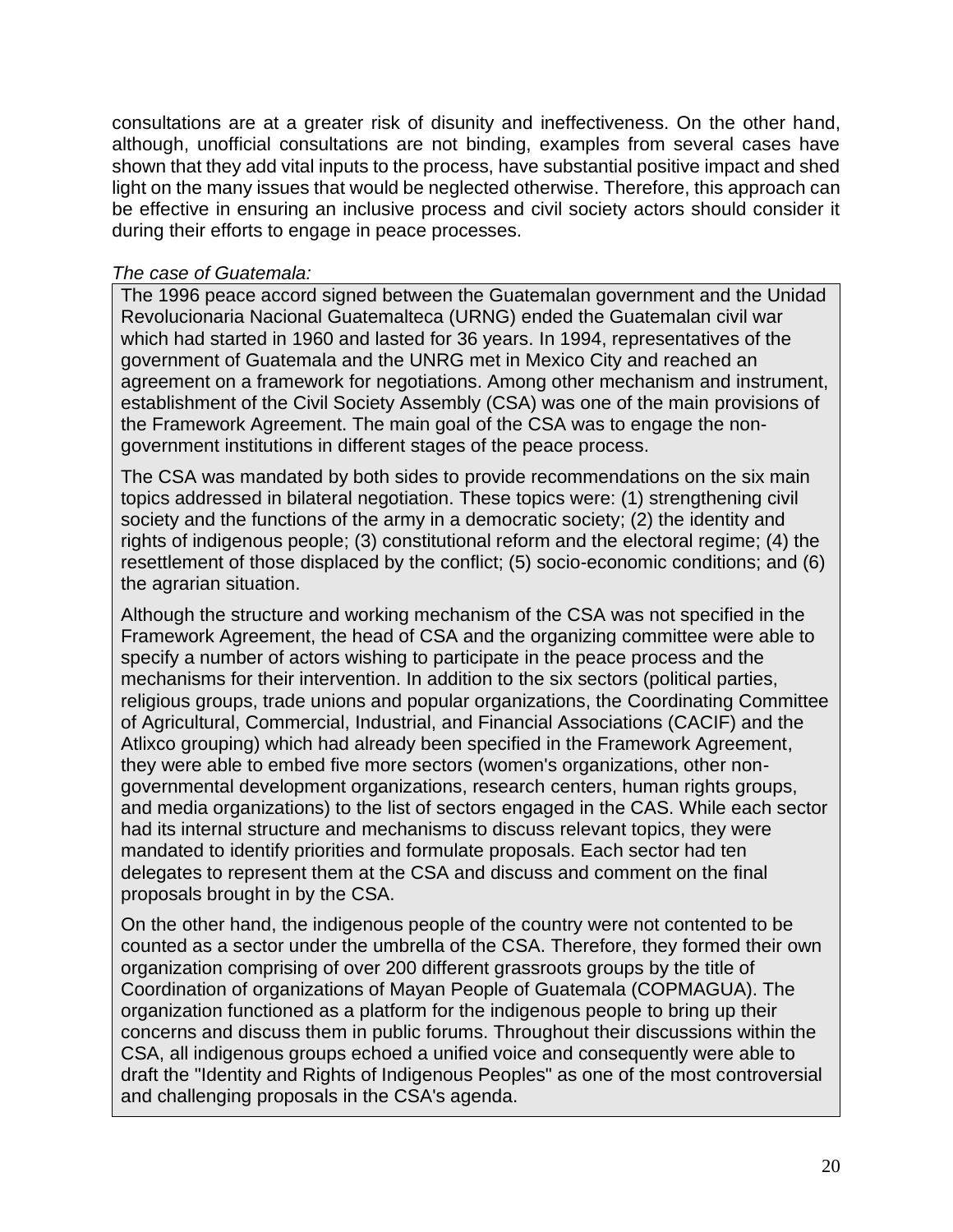consultations are at a greater risk of disunity and ineffectiveness. On the other hand, although, unofficial consultations are not binding, examples from several cases have shown that they add vital inputs to the process, have substantial positive impact and shed light on the many issues that would be neglected otherwise. Therefore, this approach can be effective in ensuring an inclusive process and civil society actors should consider it during their efforts to engage in peace processes.

#### *The case of Guatemala:*

The 1996 peace accord signed between the Guatemalan government and the Unidad Revolucionaria Nacional Guatemalteca (URNG) ended the Guatemalan civil war which had started in 1960 and lasted for 36 years. In 1994, representatives of the government of Guatemala and the UNRG met in Mexico City and reached an agreement on a framework for negotiations. Among other mechanism and instrument, establishment of the Civil Society Assembly (CSA) was one of the main provisions of the Framework Agreement. The main goal of the CSA was to engage the nongovernment institutions in different stages of the peace process.

The CSA was mandated by both sides to provide recommendations on the six main topics addressed in bilateral negotiation. These topics were: (1) strengthening civil society and the functions of the army in a democratic society; (2) the identity and rights of indigenous people; (3) constitutional reform and the electoral regime; (4) the resettlement of those displaced by the conflict; (5) socio-economic conditions; and (6) the agrarian situation.

Although the structure and working mechanism of the CSA was not specified in the Framework Agreement, the head of CSA and the organizing committee were able to specify a number of actors wishing to participate in the peace process and the mechanisms for their intervention. In addition to the six sectors (political parties, religious groups, trade unions and popular organizations, the Coordinating Committee of Agricultural, Commercial, Industrial, and Financial Associations (CACIF) and the Atlixco grouping) which had already been specified in the Framework Agreement, they were able to embed five more sectors (women's organizations, other nongovernmental development organizations, research centers, human rights groups, and media organizations) to the list of sectors engaged in the CAS. While each sector had its internal structure and mechanisms to discuss relevant topics, they were mandated to identify priorities and formulate proposals. Each sector had ten delegates to represent them at the CSA and discuss and comment on the final proposals brought in by the CSA.

On the other hand, the indigenous people of the country were not contented to be counted as a sector under the umbrella of the CSA. Therefore, they formed their own organization comprising of over 200 different grassroots groups by the title of Coordination of organizations of Mayan People of Guatemala (COPMAGUA). The organization functioned as a platform for the indigenous people to bring up their concerns and discuss them in public forums. Throughout their discussions within the CSA, all indigenous groups echoed a unified voice and consequently were able to draft the "Identity and Rights of Indigenous Peoples" as one of the most controversial and challenging proposals in the CSA's agenda.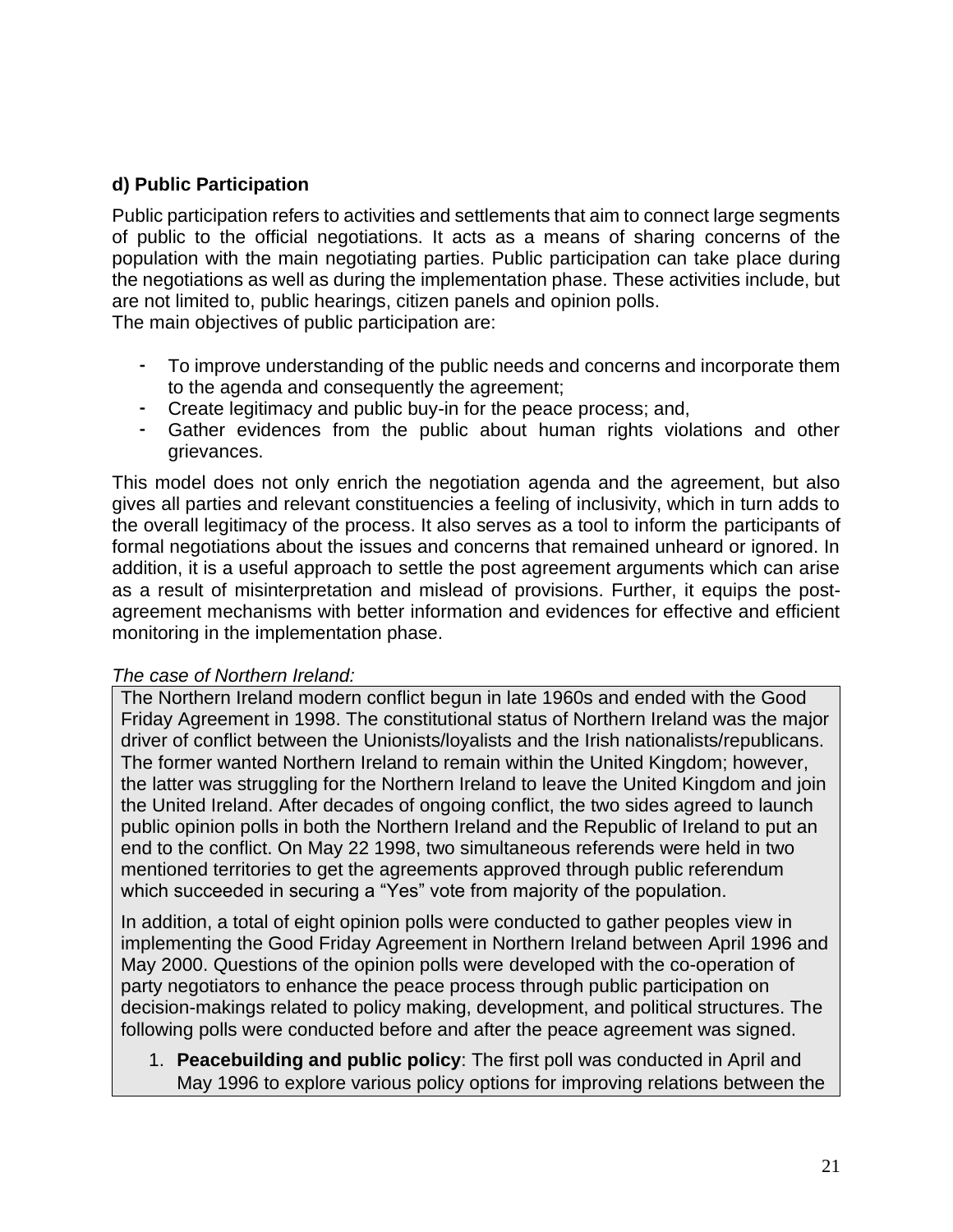# <span id="page-21-0"></span>**d) Public Participation**

Public participation refers to activities and settlements that aim to connect large segments of public to the official negotiations. It acts as a means of sharing concerns of the population with the main negotiating parties. Public participation can take place during the negotiations as well as during the implementation phase. These activities include, but are not limited to, public hearings, citizen panels and opinion polls.

The main objectives of public participation are:

- To improve understanding of the public needs and concerns and incorporate them to the agenda and consequently the agreement;
- Create legitimacy and public buy-in for the peace process; and,
- Gather evidences from the public about human rights violations and other grievances.

This model does not only enrich the negotiation agenda and the agreement, but also gives all parties and relevant constituencies a feeling of inclusivity, which in turn adds to the overall legitimacy of the process. It also serves as a tool to inform the participants of formal negotiations about the issues and concerns that remained unheard or ignored. In addition, it is a useful approach to settle the post agreement arguments which can arise as a result of misinterpretation and mislead of provisions. Further, it equips the postagreement mechanisms with better information and evidences for effective and efficient monitoring in the implementation phase.

#### *The case of Northern Ireland:*

The Northern Ireland modern conflict begun in late 1960s and ended with the Good Friday Agreement in 1998. The constitutional status of Northern Ireland was the major driver of conflict between the Unionists/loyalists and the Irish nationalists/republicans. The former wanted Northern Ireland to remain within the United Kingdom; however, the latter was struggling for the Northern Ireland to leave the United Kingdom and join the United Ireland. After decades of ongoing conflict, the two sides agreed to launch public opinion polls in both the Northern Ireland and the Republic of Ireland to put an end to the conflict. On May 22 1998, two simultaneous referends were held in two mentioned territories to get the agreements approved through public referendum which succeeded in securing a "Yes" vote from majority of the population.

In addition, a total of eight opinion polls were conducted to gather peoples view in implementing the Good Friday Agreement in Northern Ireland between April 1996 and May 2000. Questions of the opinion polls were developed with the co-operation of party negotiators to enhance the peace process through public participation on decision-makings related to policy making, development, and political structures. The following polls were conducted before and after the peace agreement was signed.

1. **Peacebuilding and public policy**: The first poll was conducted in April and May 1996 to explore various policy options for improving relations between the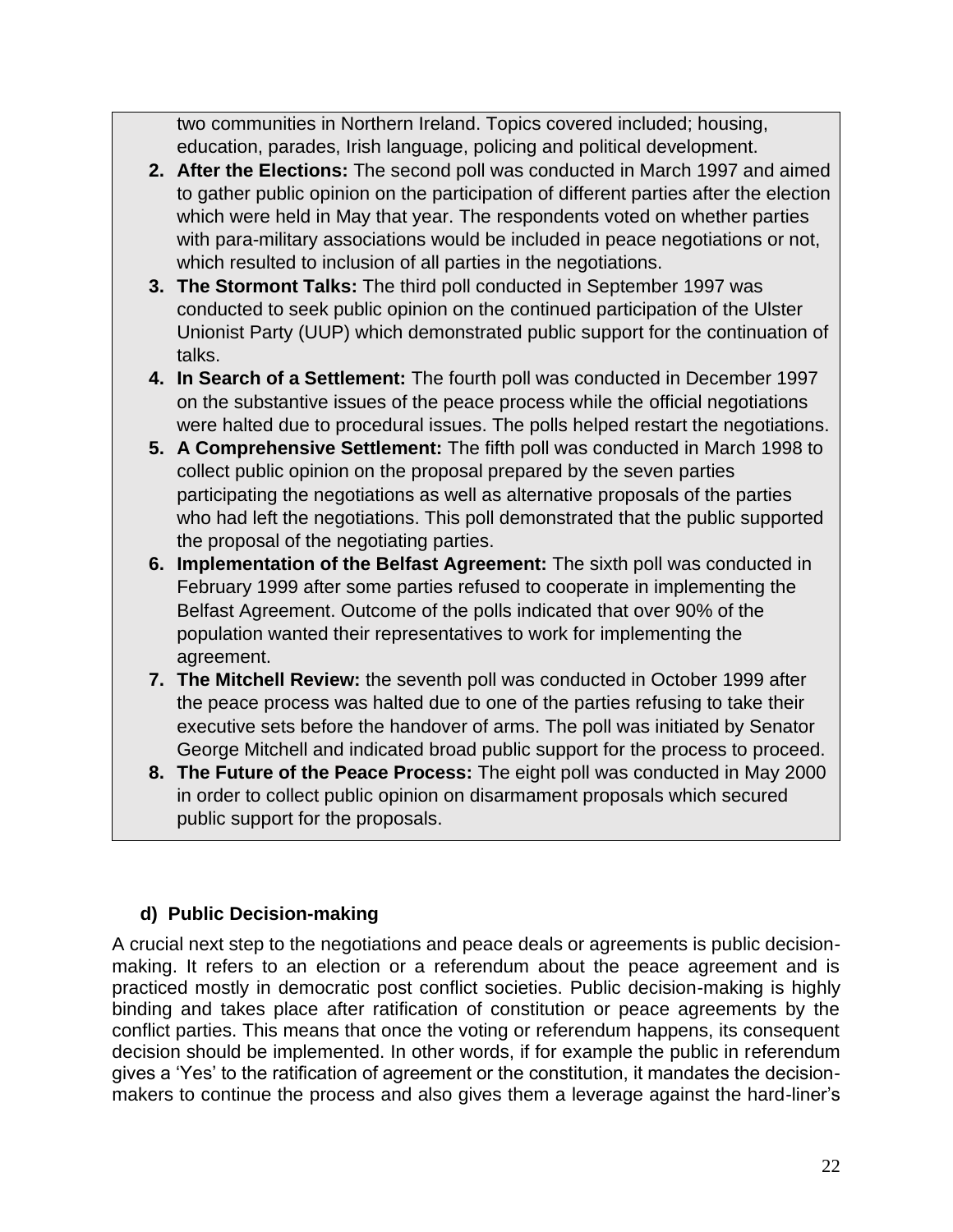two communities in Northern Ireland. Topics covered included; housing, education, parades, Irish language, policing and political development.

- **2. After the Elections:** The second poll was conducted in March 1997 and aimed to gather public opinion on the participation of different parties after the election which were held in May that year. The respondents voted on whether parties with para-military associations would be included in peace negotiations or not, which resulted to inclusion of all parties in the negotiations.
- **3. The Stormont Talks:** The third poll conducted in September 1997 was conducted to seek public opinion on the continued participation of the Ulster Unionist Party (UUP) which demonstrated public support for the continuation of talks.
- **4. In Search of a Settlement:** The fourth poll was conducted in December 1997 on the substantive issues of the peace process while the official negotiations were halted due to procedural issues. The polls helped restart the negotiations.
- **5. A Comprehensive Settlement:** The fifth poll was conducted in March 1998 to collect public opinion on the proposal prepared by the seven parties participating the negotiations as well as alternative proposals of the parties who had left the negotiations. This poll demonstrated that the public supported the proposal of the negotiating parties.
- **6. Implementation of the Belfast Agreement:** The sixth poll was conducted in February 1999 after some parties refused to cooperate in implementing the Belfast Agreement. Outcome of the polls indicated that over 90% of the population wanted their representatives to work for implementing the agreement.
- **7. The Mitchell Review:** the seventh poll was conducted in October 1999 after the peace process was halted due to one of the parties refusing to take their executive sets before the handover of arms. The poll was initiated by Senator George Mitchell and indicated broad public support for the process to proceed.
- **8. The Future of the Peace Process:** The eight poll was conducted in May 2000 in order to collect public opinion on disarmament proposals which secured public support for the proposals.

# <span id="page-22-0"></span>**d) Public Decision-making**

A crucial next step to the negotiations and peace deals or agreements is public decisionmaking. It refers to an election or a referendum about the peace agreement and is practiced mostly in democratic post conflict societies. Public decision-making is highly binding and takes place after ratification of constitution or peace agreements by the conflict parties. This means that once the voting or referendum happens, its consequent decision should be implemented. In other words, if for example the public in referendum gives a 'Yes' to the ratification of agreement or the constitution, it mandates the decisionmakers to continue the process and also gives them a leverage against the hard-liner's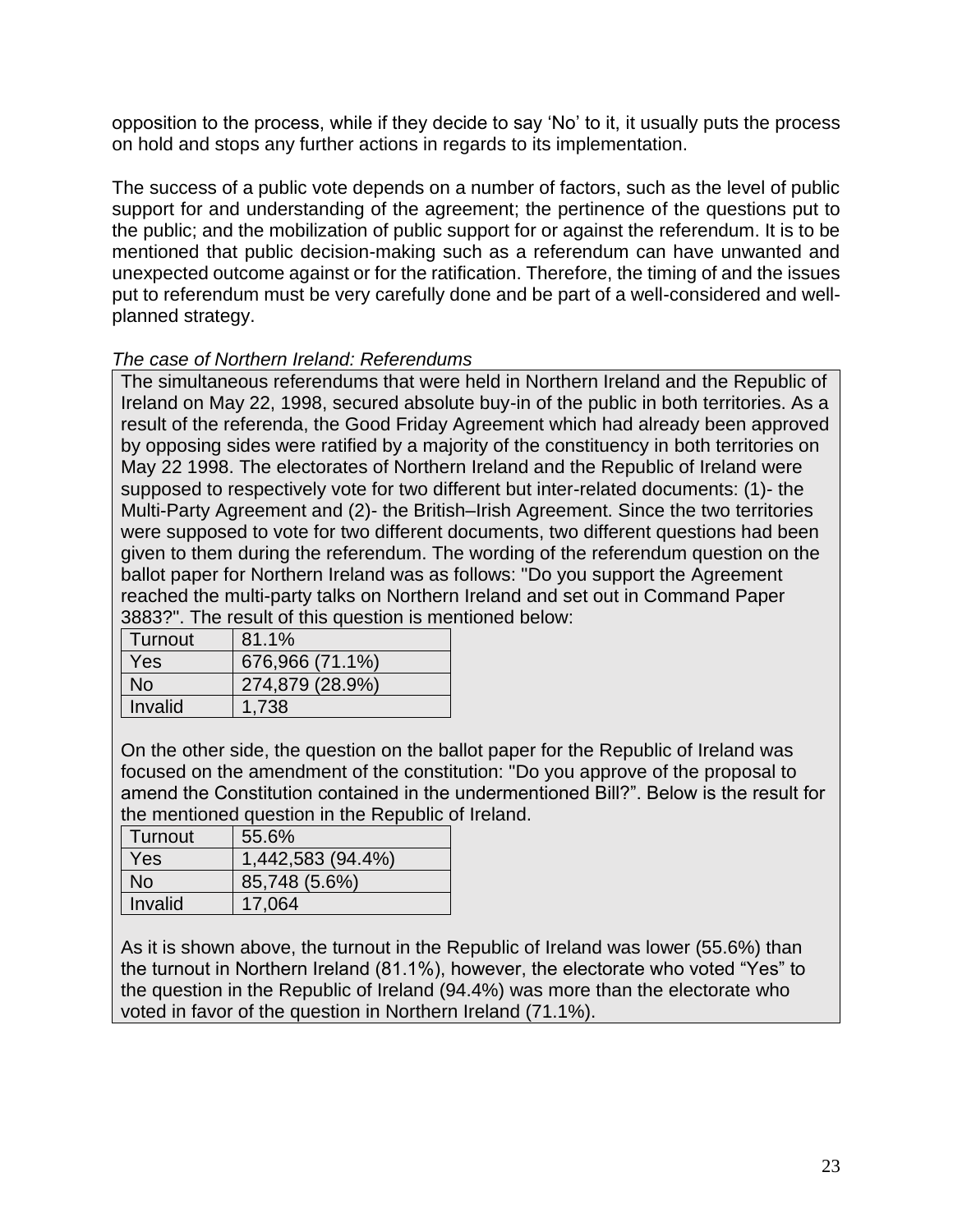opposition to the process, while if they decide to say 'No' to it, it usually puts the process on hold and stops any further actions in regards to its implementation.

The success of a public vote depends on a number of factors, such as the level of public support for and understanding of the agreement; the pertinence of the questions put to the public; and the mobilization of public support for or against the referendum. It is to be mentioned that public decision-making such as a referendum can have unwanted and unexpected outcome against or for the ratification. Therefore, the timing of and the issues put to referendum must be very carefully done and be part of a well-considered and wellplanned strategy.

#### *The case of Northern Ireland: Referendums*

The simultaneous referendums that were held in Northern Ireland and the Republic of Ireland on May 22, 1998, secured absolute buy-in of the public in both territories. As a result of the referenda, the Good Friday Agreement which had already been approved by opposing sides were ratified by a majority of the constituency in both territories on May 22 1998. The electorates of Northern Ireland and the Republic of Ireland were supposed to respectively vote for two different but inter-related documents: (1)- the Multi-Party Agreement and (2)- the British–Irish Agreement. Since the two territories were supposed to vote for two different documents, two different questions had been given to them during the referendum. The wording of the referendum question on the ballot paper for Northern Ireland was as follows: "Do you support the Agreement reached the multi-party talks on Northern Ireland and set out in Command Paper 3883?". The result of this question is mentioned below:

| Turnout | 81.1%           |
|---------|-----------------|
| Yes     | 676,966 (71.1%) |
| No      | 274,879 (28.9%) |
| Invalid | 1.738           |

On the other side, the question on the ballot paper for the Republic of Ireland was focused on the amendment of the constitution: "Do you approve of the proposal to amend the Constitution contained in the undermentioned Bill?". Below is the result for the mentioned question in the Republic of Ireland.

| Turnout   | 55.6%             |
|-----------|-------------------|
| Yes       | 1,442,583 (94.4%) |
| <b>No</b> | 85,748 (5.6%)     |
| Invalid   | 17,064            |

As it is shown above, the turnout in the Republic of Ireland was lower (55.6%) than the turnout in Northern Ireland (81.1%), however, the electorate who voted "Yes" to the question in the Republic of Ireland (94.4%) was more than the electorate who voted in favor of the question in Northern Ireland (71.1%).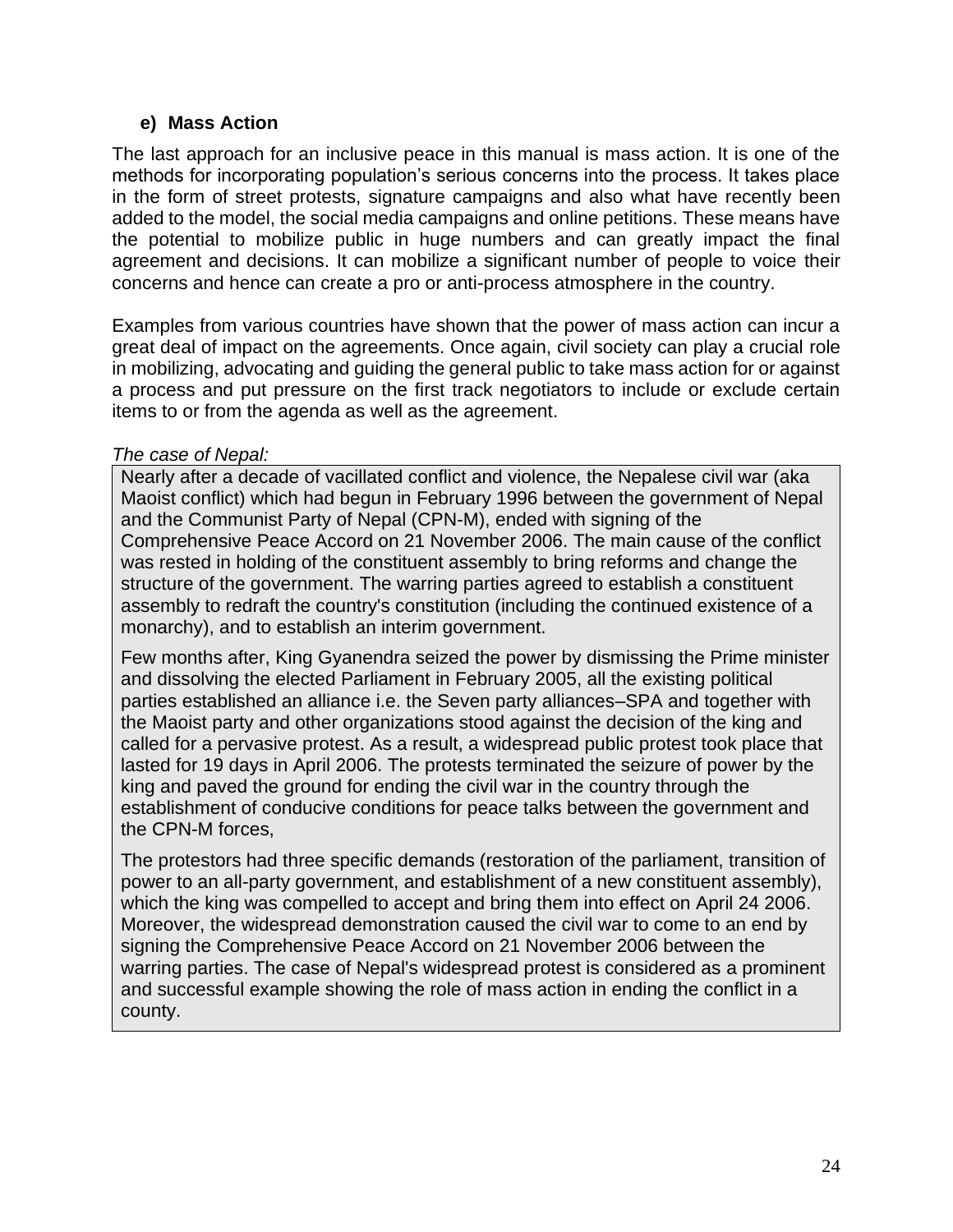#### **e) Mass Action**

<span id="page-24-0"></span>The last approach for an inclusive peace in this manual is mass action. It is one of the methods for incorporating population's serious concerns into the process. It takes place in the form of street protests, signature campaigns and also what have recently been added to the model, the social media campaigns and online petitions. These means have the potential to mobilize public in huge numbers and can greatly impact the final agreement and decisions. It can mobilize a significant number of people to voice their concerns and hence can create a pro or anti-process atmosphere in the country.

Examples from various countries have shown that the power of mass action can incur a great deal of impact on the agreements. Once again, civil society can play a crucial role in mobilizing, advocating and guiding the general public to take mass action for or against a process and put pressure on the first track negotiators to include or exclude certain items to or from the agenda as well as the agreement.

#### *The case of Nepal:*

Nearly after a decade of vacillated conflict and violence, the Nepalese civil war (aka Maoist conflict) which had begun in February 1996 between the government of Nepal and the Communist Party of Nepal (CPN-M), ended with signing of the Comprehensive Peace Accord on 21 November 2006. The main cause of the conflict was rested in holding of the constituent assembly to bring reforms and change the structure of the government. The warring parties agreed to establish a constituent assembly to redraft the country's constitution (including the continued existence of a monarchy), and to establish an interim government.

Few months after, King Gyanendra seized the power by dismissing the Prime minister and dissolving the elected Parliament in February 2005, all the existing political parties established an alliance i.e. the Seven party alliances–SPA and together with the Maoist party and other organizations stood against the decision of the king and called for a pervasive protest. As a result, a widespread public protest took place that lasted for 19 days in April 2006. The protests terminated the seizure of power by the king and paved the ground for ending the civil war in the country through the establishment of conducive conditions for peace talks between the government and the CPN-M forces,

The protestors had three specific demands (restoration of the parliament, transition of power to an all-party government, and establishment of a new constituent assembly), which the king was compelled to accept and bring them into effect on April 24 2006. Moreover, the widespread demonstration caused the civil war to come to an end by signing the Comprehensive Peace Accord on 21 November 2006 between the warring parties. The case of Nepal's widespread protest is considered as a prominent and successful example showing the role of mass action in ending the conflict in a county.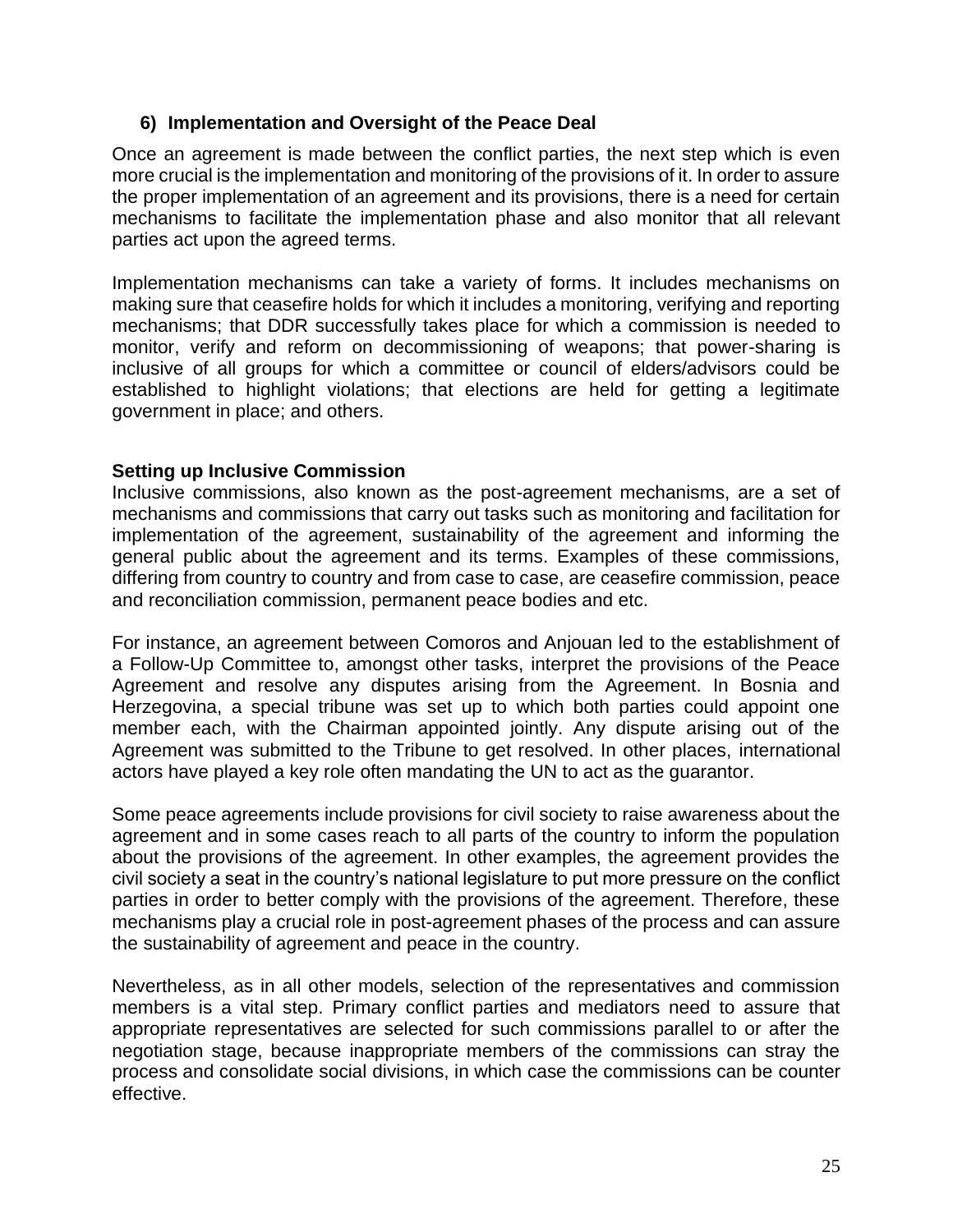#### <span id="page-25-0"></span>**6) Implementation and Oversight of the Peace Deal**

Once an agreement is made between the conflict parties, the next step which is even more crucial is the implementation and monitoring of the provisions of it. In order to assure the proper implementation of an agreement and its provisions, there is a need for certain mechanisms to facilitate the implementation phase and also monitor that all relevant parties act upon the agreed terms.

Implementation mechanisms can take a variety of forms. It includes mechanisms on making sure that ceasefire holds for which it includes a monitoring, verifying and reporting mechanisms; that DDR successfully takes place for which a commission is needed to monitor, verify and reform on decommissioning of weapons; that power-sharing is inclusive of all groups for which a committee or council of elders/advisors could be established to highlight violations; that elections are held for getting a legitimate government in place; and others.

#### **Setting up Inclusive Commission**

Inclusive commissions, also known as the post-agreement mechanisms, are a set of mechanisms and commissions that carry out tasks such as monitoring and facilitation for implementation of the agreement, sustainability of the agreement and informing the general public about the agreement and its terms. Examples of these commissions, differing from country to country and from case to case, are ceasefire commission, peace and reconciliation commission, permanent peace bodies and etc.

For instance, an agreement between Comoros and Anjouan led to the establishment of a Follow-Up Committee to, amongst other tasks, interpret the provisions of the Peace Agreement and resolve any disputes arising from the Agreement. In Bosnia and Herzegovina, a special tribune was set up to which both parties could appoint one member each, with the Chairman appointed jointly. Any dispute arising out of the Agreement was submitted to the Tribune to get resolved. In other places, international actors have played a key role often mandating the UN to act as the guarantor.

Some peace agreements include provisions for civil society to raise awareness about the agreement and in some cases reach to all parts of the country to inform the population about the provisions of the agreement. In other examples, the agreement provides the civil society a seat in the country's national legislature to put more pressure on the conflict parties in order to better comply with the provisions of the agreement. Therefore, these mechanisms play a crucial role in post-agreement phases of the process and can assure the sustainability of agreement and peace in the country.

Nevertheless, as in all other models, selection of the representatives and commission members is a vital step. Primary conflict parties and mediators need to assure that appropriate representatives are selected for such commissions parallel to or after the negotiation stage, because inappropriate members of the commissions can stray the process and consolidate social divisions, in which case the commissions can be counter effective.